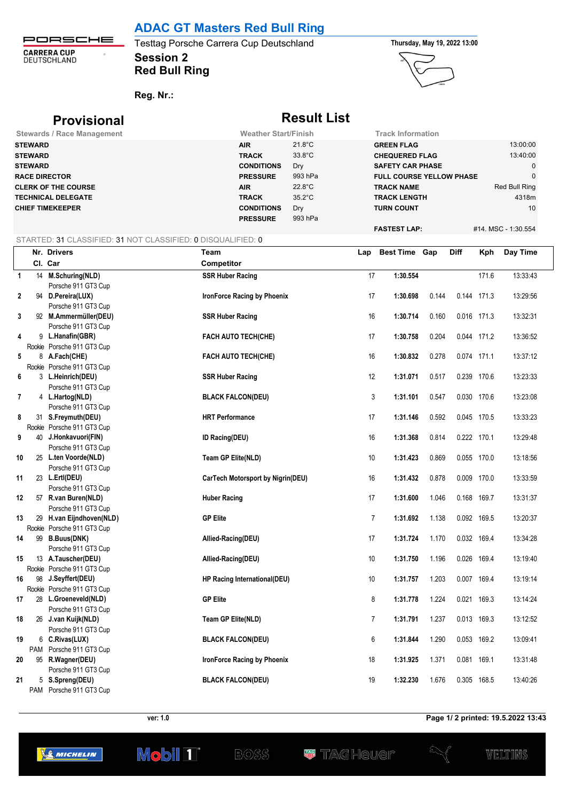## **ADAC GT Masters Red Bull Ring**

PORSCHE **CARRERA CUP**<br>DEUTSCHLAND  $\ddot{\phantom{a}}$ 

## **Session 2** Testtag Porsche Carrera Cup Deutschland **Thursday, May 19, 2022 13:00 Red Bull Ring**



**Reg. Nr.:** 

## **Provisional Result List Stewards / Race Management Weather Start/Finish Track Information STEWARD AIR** 21.8°C **GREEN FLAG** 13:00:00 **STEWARD TRACK** 33.8°C **CHEQUERED FLAG** 13:40:00 **STEWARD CONDITIONS** Dry **SAFETY CAR PHASE** 0 **RACE DIRECTOR PRESSURE** 993 hPa **FULL COURSE YELLOW PHASE** 0 **CLERK OF THE COURSE AIR** 22.8°C **TRACK NAME** Red Bull Ring **TECHNICAL DELEGATE TRACK** 35.2°C **TRACK LENGTH** 4318m **CHIEF TIMEKEEPER CONDITIONS** Dry **TURN COUNT** 10 PRESSURE 993 hPa **FASTEST LAP:** #14. MSC - 1:30.554

### STARTED: 31 CLASSIFIED: 31 NOT CLASSIFIED: 0 DISQUALIFIED: 0

|              |     | Nr. Drivers                                     | Team                               | Lap            | <b>Best Time Gap</b> |       | <b>Diff</b> | Kph   | Day Time |
|--------------|-----|-------------------------------------------------|------------------------------------|----------------|----------------------|-------|-------------|-------|----------|
|              |     | Cl. Car                                         | Competitor                         |                |                      |       |             |       |          |
| $\mathbf{1}$ |     | 14 M.Schuring(NLD)                              | <b>SSR Huber Racing</b>            | 17             | 1:30.554             |       |             | 171.6 | 13:33:43 |
|              |     | Porsche 911 GT3 Cup                             |                                    |                |                      |       |             |       |          |
| $\mathbf 2$  |     | 94 D.Pereira(LUX)                               | IronForce Racing by Phoenix        | 17             | 1:30.698             | 0.144 | 0.144 171.3 |       | 13:29:56 |
|              |     | Porsche 911 GT3 Cup                             |                                    |                |                      |       |             |       |          |
| 3            |     | 92 M.Ammermüller(DEU)                           | <b>SSR Huber Racing</b>            | 16             | 1:30.714             | 0.160 | 0.016 171.3 |       | 13:32:31 |
|              |     | Porsche 911 GT3 Cup                             |                                    |                |                      |       |             |       |          |
| 4            |     | 9 L.Hanafin(GBR)                                | FACH AUTO TECH(CHE)                | 17             | 1:30.758             | 0.204 | 0.044 171.2 |       | 13:36:52 |
|              |     | Rookie Porsche 911 GT3 Cup                      |                                    |                |                      |       |             |       |          |
| 5            |     | 8 A.Fach(CHE)                                   | FACH AUTO TECH(CHE)                | 16             | 1:30.832             | 0.278 | 0.074 171.1 |       | 13:37:12 |
|              |     | Rookie Porsche 911 GT3 Cup                      |                                    |                |                      |       |             |       |          |
| 6            |     | 3 L.Heinrich(DEU)                               | <b>SSR Huber Racing</b>            | 12             | 1:31.071             | 0.517 | 0.239 170.6 |       | 13:23:33 |
|              |     | Porsche 911 GT3 Cup                             |                                    |                |                      |       |             |       |          |
| 7            |     | 4 L.Hartog(NLD)                                 | <b>BLACK FALCON(DEU)</b>           | 3              | 1:31.101             | 0.547 | 0.030 170.6 |       | 13:23:08 |
|              |     | Porsche 911 GT3 Cup                             |                                    |                |                      |       |             |       |          |
| 8            |     | 31 S.Freymuth(DEU)                              | <b>HRT Performance</b>             | 17             | 1:31.146             | 0.592 | 0.045 170.5 |       | 13:33:23 |
|              |     | Rookie Porsche 911 GT3 Cup                      |                                    |                |                      |       |             |       |          |
| 9            |     | 40 J.Honkavuori(FIN)                            | <b>ID Racing(DEU)</b>              | 16             | 1:31.368             | 0.814 | 0.222 170.1 |       | 13:29:48 |
|              |     | Porsche 911 GT3 Cup                             |                                    |                |                      |       |             |       |          |
| 10           |     | 25 L.ten Voorde(NLD)                            | Team GP Elite(NLD)                 | 10             | 1:31.423             | 0.869 | 0.055 170.0 |       | 13:18:56 |
|              |     | Porsche 911 GT3 Cup                             |                                    |                |                      |       |             |       |          |
| 11           |     | 23 L.Ertl(DEU)                                  | CarTech Motorsport by Nigrin(DEU)  | 16             | 1:31.432             | 0.878 | 0.009 170.0 |       | 13:33:59 |
|              |     | Porsche 911 GT3 Cup                             |                                    |                |                      |       |             |       |          |
| 12           |     | 57 R.van Buren(NLD)                             | <b>Huber Racing</b>                | 17             | 1:31.600             | 1.046 | 0.168 169.7 |       | 13:31:37 |
| 13           |     | Porsche 911 GT3 Cup<br>29 H.van Eijndhoven(NLD) | <b>GP Elite</b>                    | $\overline{7}$ | 1:31.692             | 1.138 | 0.092 169.5 |       | 13:20:37 |
|              |     | Rookie Porsche 911 GT3 Cup                      |                                    |                |                      |       |             |       |          |
| 14           |     | 99 B.Buus(DNK)                                  | Allied-Racing(DEU)                 | 17             | 1:31.724             | 1.170 | 0.032 169.4 |       | 13:34:28 |
|              |     | Porsche 911 GT3 Cup                             |                                    |                |                      |       |             |       |          |
| 15           |     | 13 A.Tauscher(DEU)                              | Allied-Racing(DEU)                 | $10$           | 1:31.750             | 1.196 | 0.026 169.4 |       | 13:19:40 |
|              |     | Rookie Porsche 911 GT3 Cup                      |                                    |                |                      |       |             |       |          |
| 16           |     | 98 J.Seyffert(DEU)                              | HP Racing International(DEU)       | $10$           | 1:31.757             | 1.203 | 0.007 169.4 |       | 13:19:14 |
|              |     | Rookie Porsche 911 GT3 Cup                      |                                    |                |                      |       |             |       |          |
| 17           |     | 28 L.Groeneveld(NLD)                            | <b>GP Elite</b>                    | 8              | 1:31.778             | 1.224 | 0.021 169.3 |       | 13:14:24 |
|              |     | Porsche 911 GT3 Cup                             |                                    |                |                      |       |             |       |          |
| 18           |     | 26 J.van Kuijk(NLD)                             | Team GP Elite(NLD)                 | $\overline{7}$ | 1:31.791             | 1.237 | 0.013 169.3 |       | 13:12:52 |
|              |     | Porsche 911 GT3 Cup                             |                                    |                |                      |       |             |       |          |
| 19           |     | 6 C.Rivas(LUX)                                  | <b>BLACK FALCON(DEU)</b>           | 6              | 1:31.844             | 1.290 | 0.053 169.2 |       | 13:09:41 |
|              | PAM | Porsche 911 GT3 Cup                             |                                    |                |                      |       |             |       |          |
| 20           |     | 95 R.Wagner(DEU)                                | <b>IronForce Racing by Phoenix</b> | 18             | 1:31.925             | 1.371 | 0.081 169.1 |       | 13:31:48 |
|              |     | Porsche 911 GT3 Cup                             |                                    |                |                      |       |             |       |          |
| 21           |     | 5 S.Spreng(DEU)                                 | <b>BLACK FALCON(DEU)</b>           | 19             | 1:32.230             | 1.676 | 0.305 168.5 |       | 13:40:26 |
|              |     | PAM Porsche 911 GT3 Cup                         |                                    |                |                      |       |             |       |          |

Mobil **1** 

**ver: 1.0 Page 1/ 2 printed: 19.5.2022 13:43**





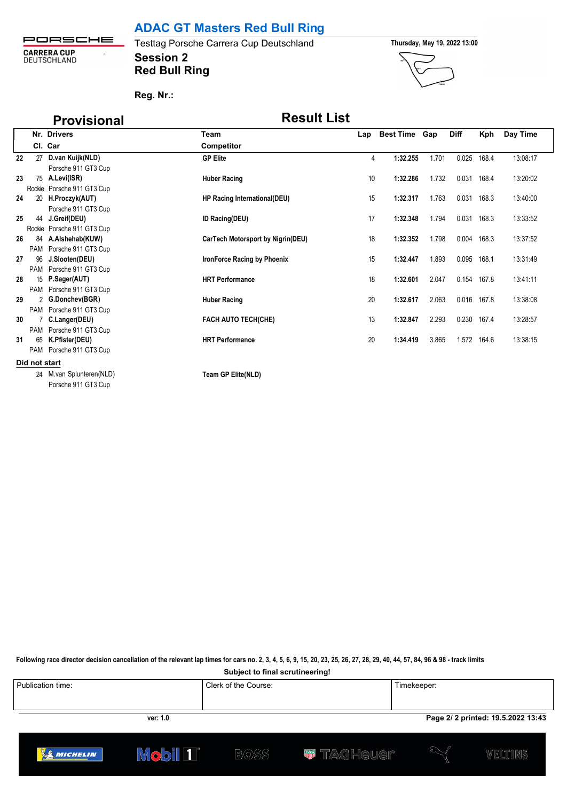**ADAC GT Masters Red Bull Ring**

PORSCHE **CARRERA CUP**<br>DEUTSCHLAND  $\bar{\Omega}$ 

**Session 2** Testtag Porsche Carrera Cup Deutschland **Thursday, May 19, 2022 13:00 Red Bull Ring**



**Reg. Nr.:** 

# **Provisional Result List**

|    |                 | Nr. Drivers                | Team                              | Lap | <b>Best Time Gap</b> |       | <b>Diff</b> | Kph         | Day Time |
|----|-----------------|----------------------------|-----------------------------------|-----|----------------------|-------|-------------|-------------|----------|
|    |                 | Cl. Car                    | Competitor                        |     |                      |       |             |             |          |
| 22 |                 | 27 D.van Kuijk(NLD)        | <b>GP Elite</b>                   | 4   | 1:32.255             | 1.701 | 0.025       | 168.4       | 13:08:17 |
|    |                 | Porsche 911 GT3 Cup        |                                   |     |                      |       |             |             |          |
| 23 |                 | 75 A.Levi(ISR)             | <b>Huber Racing</b>               | 10  | 1:32.286             | 1.732 | 0.031       | 168.4       | 13:20:02 |
|    |                 | Rookie Porsche 911 GT3 Cup |                                   |     |                      |       |             |             |          |
| 24 | 20 <sup>°</sup> | H.Proczyk(AUT)             | HP Racing International(DEU)      | 15  | 1:32.317             | 1.763 | 0.031       | 168.3       | 13:40:00 |
|    |                 | Porsche 911 GT3 Cup        |                                   |     |                      |       |             |             |          |
| 25 |                 | 44 J.Greif(DEU)            | <b>ID Racing(DEU)</b>             | 17  | 1:32.348             | 1.794 | 0.031       | 168.3       | 13:33:52 |
|    |                 | Rookie Porsche 911 GT3 Cup |                                   |     |                      |       |             |             |          |
| 26 | 84              | A.Alshehab(KUW)            | CarTech Motorsport by Nigrin(DEU) | 18  | 1:32.352             | 1.798 | 0.004       | 168.3       | 13:37:52 |
|    |                 | PAM Porsche 911 GT3 Cup    |                                   |     |                      |       |             |             |          |
| 27 | 96              | J.Slooten(DEU)             | IronForce Racing by Phoenix       | 15  | 1:32.447             | 1.893 | 0.095       | 168.1       | 13:31:49 |
|    |                 | PAM Porsche 911 GT3 Cup    |                                   |     |                      |       |             |             |          |
| 28 |                 | 15 P.Sager(AUT)            | <b>HRT Performance</b>            | 18  | 1:32.601             | 2.047 | 0.154       | 167.8       | 13:41:11 |
|    |                 | PAM Porsche 911 GT3 Cup    |                                   |     |                      |       |             |             |          |
| 29 |                 | 2 G.Donchev(BGR)           | <b>Huber Racing</b>               | 20  | 1:32.617             | 2.063 |             | 0.016 167.8 | 13:38:08 |
|    |                 | PAM Porsche 911 GT3 Cup    |                                   |     |                      |       |             |             |          |
| 30 |                 | 7 C.Langer(DEU)            | <b>FACH AUTO TECH(CHE)</b>        | 13  | 1:32.847             | 2.293 |             | 0.230 167.4 | 13:28:57 |
|    |                 | PAM Porsche 911 GT3 Cup    |                                   |     |                      |       |             |             |          |
| 31 | 65              | K.Pfister(DEU)             | <b>HRT Performance</b>            | 20  | 1:34.419             | 3.865 |             | 1.572 164.6 | 13:38:15 |
|    |                 | PAM Porsche 911 GT3 Cup    |                                   |     |                      |       |             |             |          |
|    | Did not start   |                            |                                   |     |                      |       |             |             |          |
|    |                 | 24 M.van Splunteren(NLD)   | Team GP Elite(NLD)                |     |                      |       |             |             |          |
|    |                 | Porsche 911 GT3 Cup        |                                   |     |                      |       |             |             |          |

**Following race director decision cancellation of the relevant lap times for cars no. 2, 3, 4, 5, 6, 9, 15, 20, 23, 25, 26, 27, 28, 29, 40, 44, 57, 84, 96 & 98 - track limits Subject to final scrutineering!**

Publication time: Clerk of the Course: Timekeeper: **ver: 1.0 Page 2/ 2 printed: 19.5.2022 13:43 Mobil 1 W** TAGHeuer **SANICHELIN BOSS** WELTINS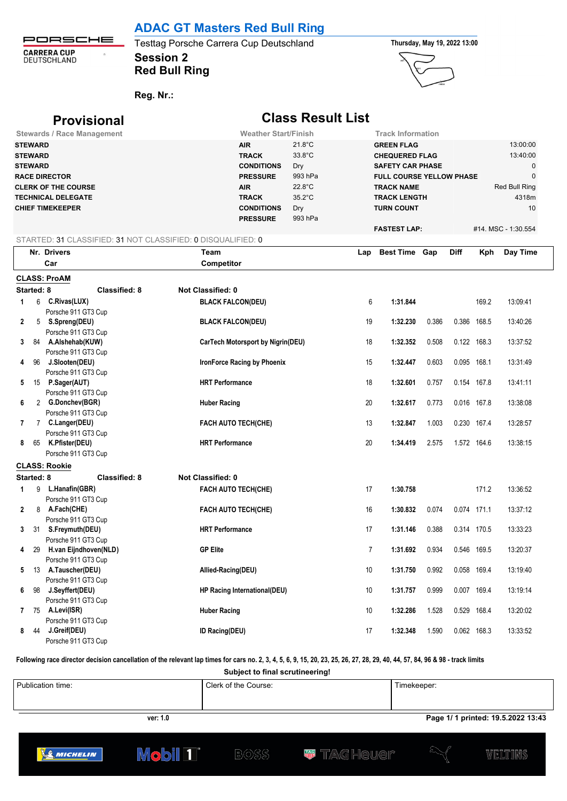# **ADAC GT Masters Red Bull Ring**

PORSCHE **CARRERA CUP**<br>DEUTSCHLAND  $\bar{\Omega}$ 

## **Session 2** Testtag Porsche Carrera Cup Deutschland **Thursday, May 19, 2022 13:00 Red Bull Ring**



**Reg. Nr.:** 

# **Provisional Class Result List**

|              |                | <b>Stewards / Race Management</b>                            | <b>Weather Start/Finish</b>        |                  |                | <b>Track Information</b>        |       |             |             |                     |
|--------------|----------------|--------------------------------------------------------------|------------------------------------|------------------|----------------|---------------------------------|-------|-------------|-------------|---------------------|
|              | <b>STEWARD</b> |                                                              | <b>AIR</b>                         | $21.8^{\circ}$ C |                | <b>GREEN FLAG</b>               |       |             |             | 13:00:00            |
|              | <b>STEWARD</b> |                                                              | <b>TRACK</b>                       | 33.8°C           |                | <b>CHEQUERED FLAG</b>           |       |             |             | 13:40:00            |
|              | <b>STEWARD</b> |                                                              | <b>CONDITIONS</b>                  | Dry              |                | <b>SAFETY CAR PHASE</b>         |       |             |             | 0                   |
|              |                | <b>RACE DIRECTOR</b>                                         | <b>PRESSURE</b>                    | 993 hPa          |                | <b>FULL COURSE YELLOW PHASE</b> |       |             |             | $\mathbf 0$         |
|              |                | <b>CLERK OF THE COURSE</b>                                   | <b>AIR</b>                         | 22.8°C           |                | <b>TRACK NAME</b>               |       |             |             | Red Bull Ring       |
|              |                | <b>TECHNICAL DELEGATE</b>                                    | <b>TRACK</b>                       | $35.2^{\circ}$ C |                | <b>TRACK LENGTH</b>             |       |             |             | 4318m               |
|              |                | <b>CHIEF TIMEKEEPER</b>                                      | <b>CONDITIONS</b>                  | Dry              |                | <b>TURN COUNT</b>               |       |             |             | 10                  |
|              |                |                                                              | <b>PRESSURE</b>                    | 993 hPa          |                |                                 |       |             |             |                     |
|              |                |                                                              |                                    |                  |                | <b>FASTEST LAP:</b>             |       |             |             | #14. MSC - 1:30.554 |
|              |                | STARTED: 31 CLASSIFIED: 31 NOT CLASSIFIED: 0 DISQUALIFIED: 0 |                                    |                  |                |                                 |       |             |             |                     |
|              |                | Nr. Drivers                                                  | Team                               |                  | Lap            | Best Time Gap                   |       | <b>Diff</b> | Kph         | Day Time            |
|              |                | Car                                                          | Competitor                         |                  |                |                                 |       |             |             |                     |
|              |                | <b>CLASS: ProAM</b>                                          |                                    |                  |                |                                 |       |             |             |                     |
|              | Started: 8     | <b>Classified: 8</b>                                         | <b>Not Classified: 0</b>           |                  |                |                                 |       |             |             |                     |
|              |                |                                                              |                                    |                  | 6              |                                 |       |             |             |                     |
| 1            |                | 6 C.Rivas(LUX)                                               | <b>BLACK FALCON(DEU)</b>           |                  |                | 1:31.844                        |       |             | 169.2       | 13:09:41            |
| $\mathbf{2}$ |                | Porsche 911 GT3 Cup<br>5 S.Spreng(DEU)                       |                                    |                  | 19             | 1:32.230                        |       | 0.386 168.5 |             | 13:40:26            |
|              |                | Porsche 911 GT3 Cup                                          | <b>BLACK FALCON(DEU)</b>           |                  |                |                                 | 0.386 |             |             |                     |
| 3            |                | 84 A.Alshehab(KUW)                                           | CarTech Motorsport by Nigrin(DEU)  |                  | 18             | 1:32.352                        | 0.508 | 0.122 168.3 |             | 13:37:52            |
|              |                | Porsche 911 GT3 Cup                                          |                                    |                  |                |                                 |       |             |             |                     |
| 4            | -96            | J.Slooten(DEU)                                               | <b>IronForce Racing by Phoenix</b> |                  | 15             | 1:32.447                        | 0.603 | 0.095       | 168.1       | 13:31:49            |
|              |                | Porsche 911 GT3 Cup                                          |                                    |                  |                |                                 |       |             |             |                     |
| 5            |                | 15 P.Sager(AUT)                                              | <b>HRT</b> Performance             |                  | 18             | 1:32.601                        | 0.757 |             | 0.154 167.8 | 13:41:11            |
|              |                | Porsche 911 GT3 Cup                                          |                                    |                  |                |                                 |       |             |             |                     |
| 6            |                | 2 G.Donchev(BGR)                                             | <b>Huber Racing</b>                |                  | 20             | 1:32.617                        | 0.773 | 0.016 167.8 |             | 13:38:08            |
|              |                | Porsche 911 GT3 Cup                                          |                                    |                  |                |                                 |       |             |             |                     |
| 7            |                | 7 C.Langer(DEU)                                              | <b>FACH AUTO TECH(CHE)</b>         |                  | 13             | 1:32.847                        | 1.003 |             | 0.230 167.4 | 13:28:57            |
|              |                | Porsche 911 GT3 Cup                                          |                                    |                  |                |                                 |       |             |             |                     |
| 8            | 65             | K.Pfister(DEU)                                               | <b>HRT</b> Performance             |                  | 20             | 1:34.419                        | 2.575 | 1.572 164.6 |             | 13:38:15            |
|              |                | Porsche 911 GT3 Cup                                          |                                    |                  |                |                                 |       |             |             |                     |
|              |                | <b>CLASS: Rookie</b>                                         |                                    |                  |                |                                 |       |             |             |                     |
|              | Started: 8     | <b>Classified: 8</b>                                         | <b>Not Classified: 0</b>           |                  |                |                                 |       |             |             |                     |
| 1            |                | 9 L.Hanafin(GBR)                                             | <b>FACH AUTO TECH(CHE)</b>         |                  | 17             | 1:30.758                        |       |             | 171.2       | 13:36:52            |
|              |                | Porsche 911 GT3 Cup                                          |                                    |                  |                |                                 |       |             |             |                     |
| $\mathbf{2}$ |                | 8 A.Fach(CHE)                                                | <b>FACH AUTO TECH(CHE)</b>         |                  | 16             | 1:30.832                        | 0.074 | 0.074 171.1 |             | 13:37:12            |
|              |                | Porsche 911 GT3 Cup                                          |                                    |                  |                |                                 |       |             |             |                     |
|              | 3 31           | S.Freymuth(DEU)                                              | <b>HRT</b> Performance             |                  | 17             | 1:31.146                        | 0.388 |             | 0.314 170.5 | 13:33:23            |
|              |                | Porsche 911 GT3 Cup                                          |                                    |                  |                |                                 |       |             |             |                     |
| 4            | 29             | H.van Eijndhoven(NLD)                                        | <b>GP Elite</b>                    |                  | $\overline{7}$ | 1:31.692                        | 0.934 |             | 0.546 169.5 | 13:20:37            |
|              |                | Porsche 911 GT3 Cup                                          |                                    |                  |                |                                 |       |             |             |                     |
|              |                | 5 13 A.Tauscher(DEU)                                         | Allied-Racing(DEU)                 |                  | 10             | 1:31.750                        | 0.992 | 0.058 169.4 |             | 13:19:40            |
|              |                | Porsche 911 GT3 Cup                                          |                                    |                  |                |                                 |       |             |             |                     |
| 6            | 98             | J.Seyffert(DEU)                                              | HP Racing International(DEU)       |                  | 10             | 1:31.757                        | 0.999 | 0.007 169.4 |             | 13:19:14            |
|              |                | Porsche 911 GT3 Cup                                          |                                    |                  |                |                                 |       |             |             |                     |
| 7            | -75            | A.Levi(ISR)                                                  | <b>Huber Racing</b>                |                  | 10             | 1:32.286                        | 1.528 | 0.529       | 168.4       | 13:20:02            |
|              |                | Porsche 911 GT3 Cup                                          |                                    |                  |                |                                 |       |             |             |                     |
| 8            | 44             | J.Greif(DEU)                                                 | <b>ID Racing(DEU)</b>              |                  | 17             | 1:32.348                        | 1.590 | 0.062 168.3 |             | 13:33:52            |
|              |                | Porsche 911 GT3 Cup                                          |                                    |                  |                |                                 |       |             |             |                     |

**Following race director decision cancellation of the relevant lap times for cars no. 2, 3, 4, 5, 6, 9, 15, 20, 23, 25, 26, 27, 28, 29, 40, 44, 57, 84, 96 & 98 - track limits**

**Subject to final scrutineering!**

|          | Publication time: | Clerk of the Course: | Timekeeper:                        |
|----------|-------------------|----------------------|------------------------------------|
| ver: 1.0 |                   |                      | Page 1/ 1 printed: 19.5.2022 13:43 |



**Mobil 1** 

**W** TAG Heuer



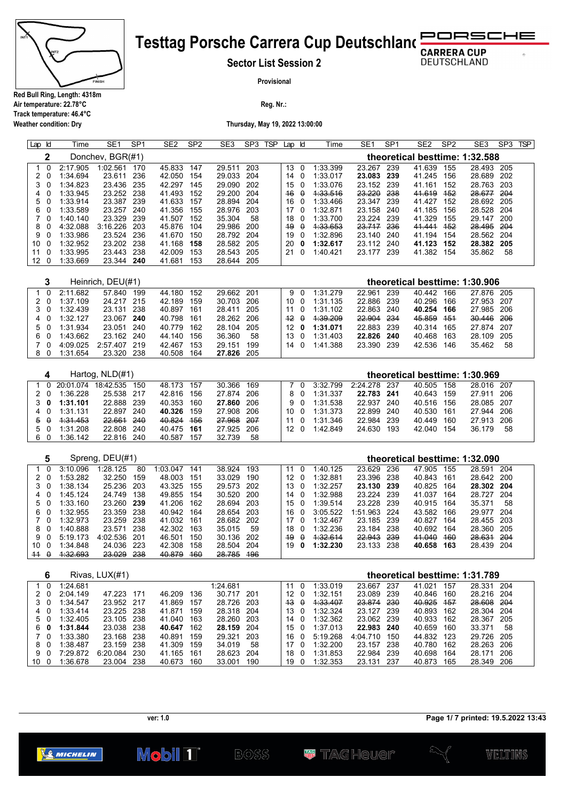

**Weather condition: Dry**

### **Testtag Porsche Carrera Cup Deutschland** RSCHE D C

**Sector List Session 2**

**DEUTSCHLAND** 

 $\sigma$ 

**Provisional**

**Reg. Nr.:** 

**Thursday, May 19, 2022 13:00:00**

| ld<br>Lap               | Time                 | SE <sub>1</sub>          | SP <sub>1</sub> | SE <sub>2</sub>      | SP <sub>2</sub> | SE <sub>3</sub>      | SP <sub>3</sub> | <b>TSP</b> | Lap                 | ld                      | Time                 | SE <sub>1</sub>          | SP <sub>1</sub> | SE <sub>2</sub>          | SP <sub>2</sub> | SE <sub>3</sub>                | SP <sub>3</sub> | <b>TSP</b> |
|-------------------------|----------------------|--------------------------|-----------------|----------------------|-----------------|----------------------|-----------------|------------|---------------------|-------------------------|----------------------|--------------------------|-----------------|--------------------------|-----------------|--------------------------------|-----------------|------------|
| 2                       |                      | Donchev, BGR(#1)         |                 |                      |                 |                      |                 |            |                     |                         |                      |                          |                 |                          |                 | theoretical besttime: 1:32.588 |                 |            |
| $\Omega$<br>1           | 2:17.905             | 1:02.561                 | 170             | 45.833               | 147             | 29.511               | 203             |            | 13                  | $\Omega$                | 1:33.399             | 23.267                   | 239             | 41.639                   | 155             | 28.493                         | 205             |            |
| 2<br>0                  | 1:34.694             | 23.611                   | 236             | 42.050               | 154             | 29.033               | 204             |            | 14                  | 0                       | 1:33.017             | 23.083                   | 239             | 41.245                   | 156             | 28.689                         | 202             |            |
| 3<br>0                  | 1:34.823             | 23.436                   | 235             | 42.297               | 145             | 29.090               | 202             |            | 15                  | 0                       | 1:33.076             | 23.152 239               |                 | 41.161                   | 152             | 28.763                         | 203             |            |
| 4<br>0<br>5<br>0        | 1:33.945<br>1:33.914 | 23.252<br>23.387 239     | 238             | 41.493<br>41.633     | 152<br>157      | 29.200<br>28.894     | 204<br>204      |            | 46<br>16            | $\theta$<br>0           | 4:33.516<br>1:33.466 | 23.220<br>23.347 239     | 238             | 41.619<br>41.427         | 452<br>152      | 28.677<br>28.692               | 204<br>205      |            |
| 6<br>0                  | 1:33.589             | 23.257                   | 240             | 41.356               | 155             | 28.976               | 203             |            | 17                  | 0                       | 1:32.871             | 23.158                   | 240             | 41.185                   | 156             | 28.528                         | 204             |            |
| 0<br>7                  | 1:40.140             | 23.329                   | 239             | 41.507               | 152             | 35.304               | 58              |            | 18                  | 0                       | 1:33.700             | 23.224                   | 239             | 41.329                   | 155             | 29.147                         | 200             |            |
| 8<br>0                  | 4:32.088             | 3:16.226                 | 203             | 45.876               | 104             | 29.986               | 200             |            | 49                  | $\theta$                | 4:33.653             | 23.717                   | 236             | 41.441                   | 452             | 28.495                         | 204             |            |
| 0<br>9                  | 1:33.986             | 23.524                   | 236             | 41.670               | 150             | 28.792               | 204             |            | 19                  | 0                       | 1:32.896             | 23.140                   | 240             | 41.194                   | 154             | 28.562                         | 204             |            |
| 0<br>10                 | 1:32.952             | 23.202                   | 238             | 41.168               | 158             | 28.582               | 205             |            | 20                  | 0                       | 1:32.617             | 23.112                   | 240             | 41.123                   | 152             | 28.382                         | 205             |            |
| 11<br>0<br>12<br>0      | 1:33.995<br>1:33.669 | 23.443<br>23.344         | 238<br>240      | 42.009<br>41.681     | 153<br>153      | 28.543<br>28.644     | 205<br>205      |            | 21                  | 0                       | 1:40.421             | 23.177 239               |                 | 41.382 154               |                 | 35.862                         | 58              |            |
|                         |                      |                          |                 |                      |                 |                      |                 |            |                     |                         |                      |                          |                 |                          |                 |                                |                 |            |
| 3                       |                      | Heinrich, DEU(#1)        |                 |                      |                 |                      |                 |            |                     |                         |                      |                          |                 |                          |                 | theoretical besttime: 1:30.906 |                 |            |
| $\mathbf 0$<br>1        | 2:11.682             | 57.840                   | 199             | 44.180               | 152             | 29.662               | 201             |            | 9                   | 0                       | 1:31.279             | 22.961                   | 239             | 40.442                   | 166             | 27.876                         | 205             |            |
| 2<br>0                  | 1:37.109             | 24.217                   | 215             | 42.189               | 159             | 30.703               | 206             |            | 10                  | 0                       | 1:31.135             | 22.886                   | 239             | 40.296                   | 166             | 27.953                         | 207             |            |
| 3<br>0                  | 1:32.439             | 23.131                   | 238             | 40.897               | 161             | 28.411               | 205             |            | 11                  | 0                       | 1:31.102             | 22.863                   | 240             | 40.254                   | 166             | 27.985                         | 206             |            |
| 4<br>0<br>5<br>0        | 1:32.127<br>1:31.934 | 23.067<br>23.051         | 240<br>240      | 40.798<br>40.779     | 161<br>162      | 28.262<br>28.104     | 206<br>205      |            | 42<br>12            | θ<br>0                  | 4:39.209<br>1:31.071 | 22.904<br>22.883         | 234<br>239      | 45.859<br>40.314         | 454<br>165      | 30.446<br>27.874               | 206<br>207      |            |
| 6<br>0                  | 1:43.662             | 23.162                   | 240             | 44.140               | 156             | 36.360               | 58              |            | 13                  | 0                       | 1:31.403             | 22.826                   | 240             | 40.468                   | 163             | 28.109                         | 205             |            |
| $\Omega$<br>7           | 4:09.025             | 2:57.407 219             |                 | 42.467               | 153             | 29.151               | 199             |            | 14                  | 0                       | 1:41.388             | 23.390 239               |                 | 42.536                   | 146             | 35.462                         | 58              |            |
| 8<br>0                  | 1:31.654             | 23.320                   | 238             | 40.508               | 164             | 27.826               | 205             |            |                     |                         |                      |                          |                 |                          |                 |                                |                 |            |
|                         |                      |                          |                 |                      |                 |                      |                 |            |                     |                         |                      |                          |                 |                          |                 |                                |                 |            |
| 4                       |                      | Hartog, NLD(#1)          |                 |                      |                 |                      |                 |            |                     |                         |                      |                          |                 |                          |                 | theoretical besttime: 1:30.969 |                 |            |
| $\mathbf{0}$<br>1       | 20:01.074            | 18:42.535                | 150             | 48.173               | 157             | 30.366               | 169             |            | 7                   | 0                       | 3:32.799             | 2:24.278                 | 237             | 40.505                   | 158             | 28.016 207                     |                 |            |
| 2<br>- 0                | 1:36.228             | 25.538                   | 217             | 42.816               | 156             | 27.874               | 206             |            | 8                   | 0                       | 1:31.337             | 22.783                   | 241             | 40.643                   | 159             | 27.911                         | 206             |            |
| 3<br>0<br>0<br>4        | 1:31.101<br>1:31.131 | 22.888<br>22.897         | 239<br>240      | 40.353<br>40.326     | 160<br>159      | 27.860<br>27.908     | 206<br>206      |            | 9<br>10             | 0<br>0                  | 1:31.538<br>1:31.373 | 22.937 240<br>22.899     | 240             | 40.516<br>40.530         | 156<br>161      | 28.085<br>27.944               | 207<br>206      |            |
| $\theta$<br>5           | 4:31.453             | 22.661                   | 240             | 40.824               | 456             | 27.968               | 207             |            | 11                  | 0                       | 1:31.346             | 22.984                   | 239             | 40.449                   | 160             | 27.913                         | 206             |            |
| 5<br>0                  | 1:31.208             | 22.808                   | 240             | 40.475               | 161             | 27.925               | 206             |            | 12                  | $\overline{\mathbf{0}}$ | 1:42.849             | 24.630                   | 193             | 42.040                   | 154             | 36.179                         | 58              |            |
| 6<br>$\mathbf 0$        | 1:36.142             | 22.816 240               |                 | 40.587               | 157             | 32.739               | 58              |            |                     |                         |                      |                          |                 |                          |                 |                                |                 |            |
|                         |                      |                          |                 |                      |                 |                      |                 |            |                     |                         |                      |                          |                 |                          |                 |                                |                 |            |
| 5                       |                      | Spreng, DEU(#1)          |                 |                      |                 |                      |                 |            |                     |                         |                      |                          |                 |                          |                 | theoretical besttime: 1:32.090 |                 |            |
| $\Omega$<br>1<br>2<br>0 | 3:10.096<br>1:53.282 | 1:28.125<br>32.250       | 80<br>159       | 1:03.047<br>48.003   | 141<br>151      | 38.924<br>33.029     | 193<br>190      |            | 11<br>12            | 0<br>0                  | 1:40.125<br>1:32.881 | 23.629<br>23.396         | 236<br>238      | 47.905<br>40.843         | 155<br>161      | 28.591<br>28.642               | 204<br>200      |            |
| 3<br>0                  | 1:38.134             | 25.236                   | 203             | 43.325               | 155             | 29.573               | 202             |            | 13                  | 0                       | 1:32.257             | 23.130                   | 239             | 40.825                   | 164             | 28.302                         | 204             |            |
| 0<br>4                  | 1:45.124             | 24.749                   | 138             | 49.855               | 154             | 30.520               | 200             |            | 14                  | 0                       | 1:32.988             | 23.224                   | 239             | 41.037                   | 164             | 28.727                         | 204             |            |
| 5<br>0                  | 1:33.160             | 23.260                   | 239             | 41.206               | 162             | 28.694               | 203             |            | 15                  | 0                       | 1:39.514             | 23.228                   | 239             | 40.915                   | 164             | 35.371                         | 58              |            |
| 0<br>6                  | 1:32.955             | 23.359                   | 238             | 40.942               | 164             | 28.654               | 203             |            | 16                  | 0                       | 3:05.522             | 1:51.963                 | 224             | 43.582                   | 166             | 29.977                         | 204             |            |
| 0<br>7                  | 1:32.973             | 23.259                   | 238             | 41.032               | 161             | 28.682               | 202             |            | 17                  | 0                       | 1:32.467             | 23.185                   | 239             | 40.827                   | 164             | 28.455                         | 203             |            |
| 8<br>0                  | 1:40.888             | 23.571                   | 238             | 42.302               | 163             | 35.015               | 59              |            | 18                  | 0                       | 1:32.236             | 23.184                   | 238             | 40.692                   | 164             | 28.360                         | 205             |            |
| 9<br>0<br>10<br>0       | 5:19.173<br>1:34.848 | 4:02.536<br>24.036       | 201<br>223      | 46.501<br>42.308     | 150<br>158      | 30.136<br>28.504     | 202<br>204      |            | 49<br>19            | θ<br>0                  | 4:32.614<br>1:32.230 | 22.943<br>23.133         | 239<br>238      | 41.040<br>40.658         | 460<br>163      | 28.631<br>28.439               | 204<br>204      |            |
| $+4$<br>$\theta$        | 4:32.693             | 23.029                   | 238             | 40.879               | 460             | 28.785               | <b>496</b>      |            |                     |                         |                      |                          |                 |                          |                 |                                |                 |            |
|                         |                      |                          |                 |                      |                 |                      |                 |            |                     |                         |                      |                          |                 |                          |                 |                                |                 |            |
| 6                       |                      | Rivas, LUX(#1)           |                 |                      |                 |                      |                 |            |                     |                         |                      |                          |                 |                          |                 | theoretical besttime: 1:31.789 |                 |            |
| 0<br>$\mathbf{1}$       | 1:24.681             |                          |                 |                      |                 | 1:24.681             |                 |            | 11 0                |                         | 1:33.019             | 23.667 237               |                 | 41.021                   | 157             | 28.331 204                     |                 |            |
| 20                      | 2:04.149             | 47.223 171               |                 | 46.209               | 136             | 30.717 201           |                 |            | 12 <sub>0</sub>     |                         | 1:32.151             | 23.089 239               |                 | 40.846                   | 160             | 28.216 204                     |                 |            |
| 30<br>40                | 1:34.547<br>1:33.414 | 23.952 217<br>23.225 238 |                 | 41.869 157<br>41.871 | 159             | 28.726<br>28.318 204 | 203             |            | <del>13</del><br>13 | $\theta$<br>0           | 1:33.407<br>1:32.324 | 23.874 230<br>23.127 239 |                 | 40.925 157<br>40.893 162 |                 | 28.608 204<br>28.304 204       |                 |            |
| 50                      | 1:32.405             | 23.105 238               |                 | 41.040 163           |                 | 28.260 203           |                 |            | 14                  | 0                       | 1:32.362             | 23.062 239               |                 | 40.933 162               |                 | 28.367 205                     |                 |            |
| 0<br>6                  | 1:31.844             | 23.038 238               |                 | 40.647 162           |                 | 28.159 204           |                 |            | 15 <sub>0</sub>     |                         | 1:37.013             | 22.983 240               |                 | 40.659 160               |                 | 33.371                         | 58              |            |
| 7 0                     | 1:33.380             | 23.168 238               |                 | 40.891               | 159             | 29.321               | 203             |            | 16                  | 0                       | 5:19.268             | 4:04.710 150             |                 | 44.832 123               |                 | 29.726 205                     |                 |            |
| 8 0                     | 1:38.487             | 23.159 238               |                 | 41.309 159           |                 | 34.019               | 58              |            | 17                  | 0                       | 1:32.200             | 23.157 238               |                 | 40.780 162               |                 | 28.263 206                     |                 |            |
| 9 0                     | 7:29.872             | 6:20.084 230             |                 | 41.165 161           |                 | 28.623 204           |                 |            | 18 0                |                         | 1:31.853             | 22.984 239               |                 | 40.698 164<br>40.873 165 |                 | 28.171 206                     |                 |            |
| 10 0                    | 1:36.678             | 23.004 238               |                 | 40.673 160           |                 | 33.001 190           |                 |            |                     |                         | 19 0 1:32.353        | 23.131 237               |                 |                          |                 | 28.349 206                     |                 |            |

**ver: 1.0**

Mobil **1** 



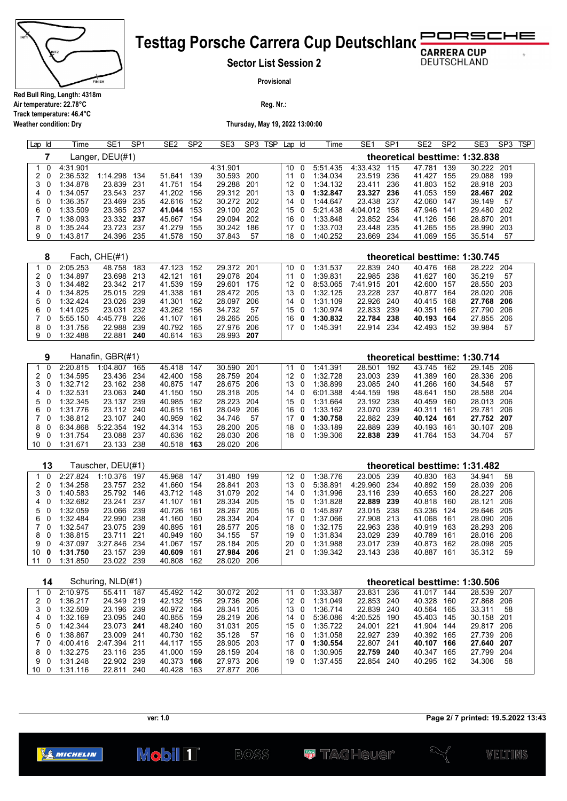

## PORSCHE **Testtag Porsche Carrera Cup Deutschland**

**Sector List Session 2**

**DEUTSCHLAND** 

 $\ddot{\phantom{0}}$ 

**Provisional**

**Reg. Nr.:** 

**Thursday, May 19, 2022 13:00:00**

| Lap          | Id                       | Time                 | SE <sub>1</sub>          | SP <sub>1</sub> | SE <sub>2</sub>          | SP <sub>2</sub> | SE3                      | SP <sub>3</sub> | TSP | Lap                   | ld            | Time                 | SE1                      | SP <sub>1</sub> | SE <sub>2</sub>      | SP <sub>2</sub> | SE <sub>3</sub>                | SP <sub>3</sub> | <b>TSP</b> |
|--------------|--------------------------|----------------------|--------------------------|-----------------|--------------------------|-----------------|--------------------------|-----------------|-----|-----------------------|---------------|----------------------|--------------------------|-----------------|----------------------|-----------------|--------------------------------|-----------------|------------|
|              | 7                        |                      | Langer, DEU(#1)          |                 |                          |                 |                          |                 |     |                       |               |                      |                          |                 |                      |                 | theoretical besttime: 1:32.838 |                 |            |
| 1            | $\mathbf 0$              | 4:31.901             |                          |                 |                          |                 | 4:31.901                 |                 |     | 10                    | $\Omega$      | 5:51.435             | 4:33.432                 | 115             | 47.781               | 139             | 30.222 201                     |                 |            |
| 2            | 0                        | 2:36.532             | 1:14.298                 | 134             | 51.641                   | 139             | 30.593                   | 200             |     | 11                    | 0             | 1:34.034             | 23.519                   | 236             | 41.427               | 155             | 29.088                         | 199             |            |
| 3<br>4       | 0<br>0                   | 1:34.878<br>1:34.057 | 23.839<br>23.543         | 231<br>237      | 41.751<br>41.202         | 154<br>156      | 29.288<br>29.312         | 201<br>201      |     | 12<br>13              | 0<br>0        | 1:34.132<br>1:32.847 | 23.411<br>23.327         | 236<br>236      | 41.803<br>41.053     | 152<br>159      | 28.918<br>28.467               | 203<br>202      |            |
| 5            | -0                       | 1:36.357             | 23.469                   | 235             | 42.616                   | 152             | 30.272                   | 202             |     | 14                    | 0             | 1:44.647             | 23.438                   | 237             | 42.060               | 147             | 39.149                         | 57              |            |
| 6            | 0                        | 1:33.509             | 23.365                   | 237             | 41.044                   | 153             | 29.100                   | 202             |     | 15                    | 0             | 5:21.438             | 4:04.012                 | 158             | 47.946               | 141             | 29.480                         | 202             |            |
| 7            | 0                        | 1:38.093             | 23.332 237               |                 | 45.667                   | 154             | 29.094                   | 202             |     | 16                    | 0             | 1:33.848             | 23.852 234               |                 | 41.126               | 156             | 28.870 201                     |                 |            |
| 8            | 0                        | 1:35.244             | 23.723                   | 237             | 41.279                   | 155             | 30.242                   | 186             |     | 17                    | 0             | 1:33.703             | 23.448                   | 235             | 41.265               | 155             | 28.990                         | 203             |            |
| 9            | 0                        | 1:43.817             | 24.396 235               |                 | 41.578                   | 150             | 37.843                   | 57              |     | 18                    | 0             | 1:40.252             | 23.669                   | 234             | 41.069               | 155             | 35.514                         | 57              |            |
|              | 8                        |                      | Fach, $CHE(\#1)$         |                 |                          |                 |                          |                 |     |                       |               |                      |                          |                 |                      |                 | theoretical besttime: 1:30.745 |                 |            |
| 1            | 0                        | 2:05.253             | 48.758                   | 183             | 47.123                   | 152             | 29.372                   | 201             |     | 10                    | 0             | 1:31.537             | 22.839                   | 240             | 40.476               | 168             | 28.222                         | 204             |            |
| 2            | 0                        | 1:34.897             | 23.698                   | 213             | 42.121                   | 161             | 29.078                   | 204             |     | 11                    | 0             | 1:39.831             | 22.985 238               |                 | 41.627               | 160             | 35.219                         | 57              |            |
| 3            | 0                        | 1:34.482             | 23.342                   | 217             | 41.539                   | 159             | 29.601                   | 175             |     | 12                    | 0             | 8:53.065             | 7:41.915                 | 201             | 42.600               | 157             | 28.550                         | 203             |            |
| 4            | 0                        | 1:34.825             | 25.015 229               |                 | 41.338                   | 161             | 28.472                   | 205             |     | 13                    | 0             | 1:32.125             | 23.228 237               |                 | 40.877 164           |                 | 28.020                         | 206             |            |
| 5            | 0                        | 1:32.424             | 23.026                   | 239             | 41.301                   | 162             | 28.097                   | 206             |     | 14                    | 0             | 1:31.109             | 22.926                   | 240             | 40.415               | 168             | 27.768                         | 206             |            |
| 6            | 0                        | 1:41.025             | 23.031                   | 232             | 43.262 156               |                 | 34.732                   | 57              |     | 15                    | 0             | 1:30.974             | 22.833 239               |                 | 40.351               | 166             | 27.790                         | 206             |            |
| 7            | 0                        | 5:55.150             | 4:45.778                 | 226             | 41.107                   | 161             | 28.265                   | 205             |     | 16                    | 0             | 1:30.832             | 22.784                   | 238             | 40.193               | 164             | 27.855                         | 206             |            |
| 8<br>9       | 0<br>0                   | 1:31.756<br>1:32.488 | 22.988<br>22.881         | 239<br>240      | 40.792<br>40.614         | 165<br>163      | 27.976<br>28.993         | 206<br>207      |     | 17                    | 0             | 1:45.391             | 22.914 234               |                 | 42.493               | - 152           | 39.984                         | 57              |            |
|              |                          |                      |                          |                 |                          |                 |                          |                 |     |                       |               |                      |                          |                 |                      |                 |                                |                 |            |
|              | 9                        |                      | Hanafin, GBR(#1)         |                 |                          |                 |                          |                 |     |                       |               |                      |                          |                 |                      |                 | theoretical besttime: 1:30.714 |                 |            |
| 1            | $\Omega$                 | 2:20.815             | 1:04.807                 | 165             | 45.418                   | 147             | 30.590                   | 201             |     | 11                    | $\mathbf 0$   | 1:41.391             | 28.501                   | 192             | 43.745               | 162             | 29.145                         | 206             |            |
| 2            | 0                        | 1:34.595             | 23.436                   | 234             | 42.400                   | 158             | 28.759                   | 204             |     | 12                    | 0             | 1:32.728             | 23.003 239               |                 | 41.389               | 160             | 28.336                         | 206             |            |
| 3            | 0                        | 1:32.712             | 23.162 238               |                 | 40.875                   | 147             | 28.675                   | 206             |     | 13                    | 0             | 1:38.899             | 23.085                   | 240             | 41.266               | 160             | 34.548                         | 57              |            |
| 4            | 0                        | 1:32.531             | 23.063                   | 240             | 41.150                   | 150             | 28.318                   | 205             |     | 14                    | 0             | 6:01.388             | 4:44.159                 | 198             | 48.641               | 150             | 28.588                         | 204             |            |
| 5            | 0                        | 1:32.345             | 23.137 239               |                 | 40.985                   | 162             | 28.223                   | 204             |     | 15                    | 0             | 1:31.664             | 23.192 238               |                 | 40.459               | 160             | 28.013                         | 206             |            |
| 6            | 0                        | 1:31.776             | 23.112                   | 240             | 40.615                   | 161             | 28.049                   | 206             |     | 16                    | 0             | 1:33.162             | 23.070                   | 239             | 40.311               | 161             | 29.781                         | 206             |            |
| 7            | 0                        | 1:38.812             | 23.107 240               |                 | 40.959                   | 162             | 34.746                   | 57              |     | 17                    | 0             | 1:30.758             | 22.882 239               |                 | 40.124               | 161             | 27.752 207                     |                 |            |
| 8<br>9       | 0<br>0                   | 6:34.868<br>1:31.754 | 5:22.354<br>23.088       | 192<br>237      | 44.314<br>40.636         | 153<br>162      | 28.200<br>28.030         | 205<br>206      |     | 48<br>18              | $\theta$<br>0 | 4:33.189<br>1:39.306 | 22.889<br>22.838 239     | 239             | 40.193<br>41.764 153 | 161             | 30.107<br>34.704               | 208<br>57       |            |
| 10           | 0                        | 1:31.671             | 23.133                   | 238             | 40.518                   | 163             | 28.020                   | 206             |     |                       |               |                      |                          |                 |                      |                 |                                |                 |            |
|              |                          |                      |                          |                 |                          |                 |                          |                 |     |                       |               |                      |                          |                 |                      |                 |                                |                 |            |
|              | 13                       |                      | Tauscher, DEU(#1)        |                 |                          |                 |                          |                 |     |                       |               |                      |                          |                 |                      |                 | theoretical besttime: 1:31.482 |                 |            |
| $\mathbf{1}$ | $\Omega$                 | 2:27.824             | 1:10.376 197             |                 | 45.968                   | 147             | 31.480                   | 199             |     | 12                    | 0             | 1:38.776             | 23.005                   | 239             | 40.830               | 163             | 34.941                         | 58              |            |
| 2            | 0                        | 1:34.258             | 23.757                   | 232             | 41.660                   | 154             | 28.841                   | 203             |     | 13                    | 0             | 5:38.891             | 4:29.960                 | 234             | 40.892               | 159             | 28.039                         | 206             |            |
| 3            | 0                        | 1:40.583             | 25.792                   | 146             | 43.712                   | 148             | 31.079                   | 202             |     | 14                    | 0             | 1:31.996             | 23.116 239               |                 | 40.653               | 160             | 28.227                         | 206             |            |
| 4            | 0                        | 1:32.682             | 23.241                   | 237             | 41.107                   | 161             | 28.334                   | 205             |     | 15                    | 0             | 1:31.828             | 22.889                   | 239             | 40.818               | 160             | 28.121                         | 206             |            |
| 5            | 0                        | 1:32.059<br>1:32.484 | 23.066                   | 239             | 40.726                   | 161             | 28.267                   | 205             |     | 16                    | 0             | 1:45.897<br>1:37.066 | 23.015 238               |                 | 53.236<br>41.068     | 124             | 29.646                         | 205             |            |
| 6<br>7       | 0<br>0                   | 1:32.547             | 22.990<br>23.075         | 238<br>239      | 41.160<br>40.895         | 160<br>161      | 28.334<br>28.577         | 204<br>205      |     | 17<br>18              | 0<br>0        | 1:32.175             | 27.908<br>22.963         | 213<br>238      | 40.919               | 161<br>163      | 28.090<br>28.293               | 206<br>206      |            |
| 8            | 0                        | 1:38.815             | 23.711                   | 221             | 40.949                   | 160             | 34.155                   | 57              |     | 19                    | 0             | 1:31.834             | 23.029                   | 239             | 40.789               | 161             | 28.016                         | 206             |            |
| 9            | 0                        | 4:37.097             | 3:27.846                 | 234             | 41.067                   | 157             | 28.184                   | 205             |     | 20                    | 0             | 1:31.988             | 23.017                   | 239             | 40.873               | 162             | 28.098                         | 205             |            |
| 10           | 0                        | 1:31.750             | 23.157                   | 239             | 40.609                   | 161             | 27.984                   | 206             |     | 21                    | 0             | 1:39.342             | 23.143 238               |                 | 40.887               | - 161           | 35.312                         | 59              |            |
| 11           | 0                        | 1:31.850             | 23.022                   | 239             | 40.808                   | 162             | 28.020                   | 206             |     |                       |               |                      |                          |                 |                      |                 |                                |                 |            |
|              |                          |                      |                          |                 |                          |                 |                          |                 |     |                       |               |                      |                          |                 |                      |                 |                                |                 |            |
|              | 14                       |                      | Schuring, NLD(#1)        |                 |                          |                 |                          |                 |     |                       |               |                      |                          |                 |                      |                 | theoretical besttime: 1:30.506 |                 |            |
| $\mathbf{1}$ | $\mathbf 0$<br>$2\quad0$ | 2:10.975<br>1:36.217 | 55.411                   | 187             | 45.492 142<br>42.132 156 |                 | 30.072 202<br>29.736 206 |                 |     | 11<br>12 <sub>0</sub> | 0             | 1:33.387<br>1:31.049 | 23.831 236<br>22.853 240 |                 | 41.017 144<br>40.328 | 160             | 28.539 207<br>27.868 206       |                 |            |
|              | 30                       | 1:32.509             | 24.349 219<br>23.196 239 |                 | 40.972 164               |                 | 28.341                   | 205             |     | 13                    | 0             | 1:36.714             | 22.839 240               |                 | 40.564               | 165             | 33.311                         | 58              |            |
|              | 4 0                      | 1:32.169             | 23.095 240               |                 | 40.855 159               |                 | 28.219                   | 206             |     | 14                    | 0             | 5:36.086             | 4:20.525 190             |                 | 45.403 145           |                 | 30.158 201                     |                 |            |
|              | 50                       | 1:42.344             | 23.073 241               |                 | 48.240 160               |                 | 31.031 205               |                 |     | 15                    | 0             | 1:35.722             | 24.001 221               |                 | 41.904 144           |                 | 29.817 206                     |                 |            |
| 6            | 0                        | 1:38.867             | 23.009 241               |                 | 40.730 162               |                 | 35.128                   | 57              |     | 16                    | 0             | 1:31.058             | 22.927 239               |                 | 40.392 165           |                 | 27.739 206                     |                 |            |
|              | $7\quad0$                | 4:00.416             | 2:47.394 211             |                 | 44.117 155               |                 | 28.905 203               |                 |     | 17                    | 0             | 1:30.554             | 22.807 241               |                 | 40.107 166           |                 | 27.640 207                     |                 |            |

 0 4:00.416 2:47.394 211 44.117 155 28.905 203 17 **0 1:30.554** 22.807 241 **40.107 166 27.640 207** 0 1:32.275 23.116 235 41.000 159 28.159 204 18 0 1:30.905 **22.759 240** 40.347 165 27.799 204 0 1:31.248 22.902 239 40.373 **166** 27.973 206 19 0 1:37.455 22.854 240 40.295 162 34.306 58

**Air temperature: 22.78°C Track temperature: 46.4°C**

**Weather condition: Dry**

**Page 2/ 7 printed: 19.5.2022 13:43**



10 0 1:31.116

**ver: 1.0**

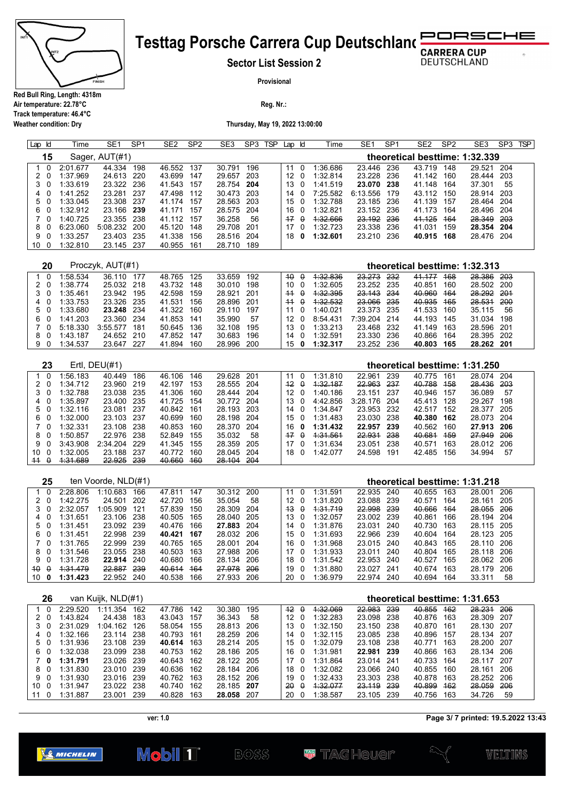

**Weather condition: Dry**

# **Testtag Porsche Carrera Cup Deutschland RUCHE**

**Sector List Session 2**

**DEUTSCHLAND** 

 $\overline{a}$ 

**Provisional**

**Reg. Nr.:** 

**Thursday, May 19, 2022 13:00:00**

| ld<br>Lap         | Time     | SE <sub>1</sub>  | SP <sub>1</sub> | SE <sub>2</sub> | SP <sub>2</sub> | SE <sub>3</sub> | SP <sub>3</sub> | <b>TSP</b> | Lap Id |             | Time     | SE <sub>1</sub> | SP <sub>1</sub> | SE <sub>2</sub>                | SP <sub>2</sub> | SE <sub>3</sub> | SP <sub>3</sub> | <b>TSP</b> |
|-------------------|----------|------------------|-----------------|-----------------|-----------------|-----------------|-----------------|------------|--------|-------------|----------|-----------------|-----------------|--------------------------------|-----------------|-----------------|-----------------|------------|
| 15                |          | Sager, AUT(#1)   |                 |                 |                 |                 |                 |            |        |             |          |                 |                 | theoretical besttime: 1:32.339 |                 |                 |                 |            |
| 1<br>0            | 2:01.677 | 44.334           | 198             | 46.552          | 137             | 30.791          | 196             |            | 11     | 0           | 1:36.686 | 23.446          | 236             | 43.719                         | 148             | 29.521          | 204             |            |
| 2<br>0            | 1:37.969 | 24.613           | 220             | 43.699          | 147             | 29.657          | 203             |            | 12     | $\Omega$    | 1:32.814 | 23.228          | 236             | 41.142                         | 160             | 28.444          | 203             |            |
| 3<br>0            | 1:33.619 | 23.322           | 236             | 41.543          | 157             | 28.754          | 204             |            | 13     | 0           | 1:41.519 | 23.070          | 238             | 41.148                         | 164             | 37.301          | 55              |            |
| 0<br>4            | 1:41.252 | 23.281           | 237             | 47.498          | 112             | 30.473          | 203             |            | 14     | $\Omega$    | 7:25.582 | 6:13.556        | 179             | 43.112                         | 150             | 28.914          | 203             |            |
| 5<br>0            | 1:33.045 | 23.308           | 237             | 41.174          | 157             | 28.563          | 203             |            | 15     | 0           | 1:32.788 | 23.185          | 236             | 41.139                         | 157             | 28.464          | 204             |            |
| 6<br>0            | 1:32.912 | 23.166           | 239             | 41.171          | 157             | 28.575          | 204             |            | 16     | 0           | 1:32.821 | 23.152          | 236             | 41.173                         | 164             | 28.496          | 204             |            |
| 7<br>0            | 1:40.725 | 23.355           | 238             | 41.112          | 157             | 36.258          | 56              |            | $+7$   | $\theta$    | 1:32.666 | 23.192          | 236             | 41.125                         | 464             | 28.349          | 203             |            |
| 8<br>0            | 6:23.060 | 5:08.232         | 200             | 45.120          | 148             | 29.708          | 201             |            | 17     | 0           | 1:32.723 | 23.338          | 236             | 41.031                         | 159             | 28.354          | 204             |            |
| 9<br>0            | 1:33.257 | 23.403           | 235             | 41.338          | 156             | 28.516          | 204             |            | 18     | 0           | 1:32.601 | 23.210          | 236             | 40.915                         | 168             | 28.476          | 204             |            |
| 10<br>0           | 1:32.810 | 23.145           | 237             | 40.955          | 161             | 28.710          | 189             |            |        |             |          |                 |                 |                                |                 |                 |                 |            |
|                   |          |                  |                 |                 |                 |                 |                 |            |        |             |          |                 |                 |                                |                 |                 |                 |            |
| 20                |          | Proczyk, AUT(#1) |                 |                 |                 |                 |                 |            |        |             |          |                 |                 | theoretical besttime: 1:32.313 |                 |                 |                 |            |
| $\mathbf{1}$<br>0 | 1:58.534 | 36.110           | 177             | 48.765          | 125             | 33.659          | 192             |            | 40     | $\theta$    | 4:32.836 | 23.273          | 232             | 41.177                         | 468             | 28.386          | 203             |            |
| 2<br>0            | 1:38.774 | 25.032           | 218             | 43.732          | 148             | 30.010          | 198             |            | 10     | 0           | 1:32.605 | 23.252          | 235             | 40.851                         | 160             | 28.502          | 200             |            |
| 3<br>0            | 1:35.461 | 23.942           | 195             | 42.598          | 159             | 28.921          | 201             |            | $+4$   | $\theta$    | 4:32.395 | 23.143          | 234             | 40.960                         | <b>164</b>      | 28.292          | 201             |            |
| 4<br>0            | 1:33.753 | 23.326           | 235             | 41.531          | 156             | 28.896          | 201             |            | $+4$   | $\theta$    | 1:32.532 | 23.066          | 235             | 40.935                         | 465             | 28.531          | 200             |            |
| 5<br>0            | 1:33.680 | 23.248           | 234             | 41.322          | 160             | 29.110          | 197             |            | 11     | 0           | 1:40.021 | 23.373          | 235             | 41.533                         | 160             | 35.115          | 56              |            |
| 6<br>0            | 1:41.203 | 23.360           | 234             | 41.853          | 141             | 35.990          | 57              |            | 12     | $\mathbf 0$ | 8:54.431 | 7:39.204        | 214             | 44.193                         | 145             | 31.034          | 198             |            |
| 7<br>0            | 5:18.330 | 3:55.577         | 181             | 50.645          | 136             | 32.108          | 195             |            | 13     | $\mathbf 0$ | 1:33.213 | 23.468          | 232             | 41.149                         | 163             | 28.596          | 201             |            |
| 8<br>0            | 1:43.187 | 24.652           | 210             | 47.852          | 147             | 30.683          | 196             |            | 14     | 0           | 1:32.591 | 23.330          | 236             | 40.866                         | 164             | 28.395          | 202             |            |
| 9<br>0            | 1:34.537 | 23.647           | 227             | 41.894          | 160             | 28.996          | 200             |            | 15     | 0           | 1:32.317 | 23.252          | 236             | 40.803                         | 165             | 28.262 201      |                 |            |
|                   |          |                  |                 |                 |                 |                 |                 |            |        |             |          |                 |                 |                                |                 |                 |                 |            |
| 23                |          | Ertl, DEU(#1)    |                 |                 |                 |                 |                 |            |        |             |          |                 |                 | theoretical besttime: 1:31.250 |                 |                 |                 |            |
| 1<br>0            | 1:56.183 | 40.449           | 186             | 46.106          | 146             | 29.628          | 201             |            | 11     | $\Omega$    | 1:31.810 | 22.961          | 239             | 40.775                         | 161             | 28.074          | 204             |            |
| 2<br>0            | 1:34.712 | 23.960           | 219             | 42.197          | 153             | 28.555          | 204             |            | $+2$   | $\theta$    | 1:32.187 | 22.963          | 237             | 40.788                         | 458             | 28.436          | 203             |            |
| 3<br>0            | 1:32.788 | 23.038           | 235             | 41.306          | 160             | 28.444          | 204             |            | 12     | 0           | 1:40.186 | 23.151          | 237             | 40.946                         | 157             | 36.089          | 57              |            |
| 4<br>0            | 1:35.897 | 23.400           | 235             | 41.725          | 154             | 30.772          | 204             |            | 13     | 0           | 4:42.856 | 3:28.176        | 204             | 45.413                         | 128             | 29.267          | 198             |            |
| 5<br>0            | 1:32.116 | 23.081           | 237             | 40.842          | 161             | 28.193          | 203             |            | 14     | $\mathbf 0$ | 1:34.847 | 23.953          | 232             | 42.517                         | 152             | 28.377          | 205             |            |
| 6<br>0            | 1:32.000 | 23.103           | 237             | 40.699          | 160             | 28.198          | 204             |            | 15     | 0           | 1:31.483 | 23.030          | 238             | 40.380                         | 162             | 28.073          | 204             |            |
| 7<br>$\Omega$     | 1:32.331 | 23.108           | 238             | 40.853          | 160             | 28.370          | 204             |            | 16     | 0           | 1:31.432 | 22.957          | 239             | 40.562                         | 160             | 27.913          | 206             |            |
| 8<br>0            | 1:50.857 | 22.976           | 238             | 52.849          | 155             | 35.032          | 58              |            | $+7$   | $\theta$    | 1:31.561 | 22.931          | 238             | 40.681                         | 459             | 27.949          | 206             |            |
| 9<br>0            | 3:43.908 | 2:34.204         | 229             | 41.345          | 155             | 28.359          | 205             |            | 17     | $\mathbf 0$ | 1:31.634 | 23.051          | 238             | 40.571                         | 163             | 28.012          | 206             |            |
| 10<br>0           | 1:32.005 | 23.188           | 237             | 40.772          | 160             | 28.045          | 204             |            | 18     | 0           | 1:42.077 | 24.598          | 191             | 42.485                         | 156             | 34.994          | 57              |            |
| $\theta$<br>$+4$  | 4:31.689 | 22.925           | 239             | 40.660          | <b>160</b>      | 28.104          | 204             |            |        |             |          |                 |                 |                                |                 |                 |                 |            |

| 25                       |          | ten Voorde, NLD(#1) |     |        |     |        |      |     |          |          |            |      | theoretical besttime: 1:31.218 |     |            |      |
|--------------------------|----------|---------------------|-----|--------|-----|--------|------|-----|----------|----------|------------|------|--------------------------------|-----|------------|------|
|                          | 2:28.806 | 1:10.683            | 166 | 47.811 | 147 | 30.312 | 200  | 11  | $\Omega$ | 1:31.591 | 22.935     | -240 | 40.655                         | 163 | 28.001     | 206  |
|                          | 1:42.275 | 24.501              | 202 | 42.720 | 156 | 35.054 | 58   | 12  |          | 1:31.820 | 23.088     | -239 | 40.571                         | 164 | 28.161     | 205  |
|                          | 2:32.057 | 1:05.909            | 121 | 57.839 | 150 | 28.309 | 204  | 43  | $\theta$ | 4:31.719 | 22.998     | -239 | 40.666                         | 464 | 28.055     | 206  |
|                          | 1:31.651 | 23.106              | 238 | 40.505 | 165 | 28.040 | 205  | 13  |          | 1:32.057 | 23.002 239 |      | 40.861                         | 166 | 28.194     | -204 |
| 50                       | 1:31.451 | 23.092              | 239 | 40.476 | 166 | 27.883 | -204 | 14  |          | 1:31.876 | 23.031     | 240  | 40.730                         | 163 | 28.115 205 |      |
| 60                       | 1:31.451 | 22.998              | 239 | 40.421 | 167 | 28.032 | 206  | 150 |          | 1:31.693 | 22.966 239 |      | 40.604                         | 164 | 28.123 205 |      |
| 7 O                      | 1:31.765 | 22.999              | 239 | 40.765 | 165 | 28.001 | 204  | 16  | $\Omega$ | 1:31.968 | 23.015 240 |      | 40.843                         | 165 | 28 110     | 206  |
| 80                       | 1:31.546 | 23.055              | 238 | 40.503 | 163 | 27.988 | 206  | 17  | n        | 1:31.933 | 23.011 240 |      | 40.804                         | 165 | 28.118 206 |      |
| 90                       | 1:31.728 | 22.914              | 240 | 40.680 | 166 | 28.134 | 206  | 18  | 0        | 1:31.542 | 22.953 240 |      | 40.527                         | 165 | 28.062 206 |      |
| $40^{\circ}$<br>$\theta$ | 1.31.479 | 22.887              | 239 | 40.614 | 464 | 27.978 | 206  | 19  | - 0      | 1:31.880 | 23.027     | -241 | 40.674                         | 163 | 28.179     | 206  |
| 10<br>0                  | 1:31.423 | 22.952              | 240 | 40.538 | 166 | 27.933 | 206  | 20  |          | 1:36.979 | 22.974     | 240  | 40.694                         | 164 | 33.311     | 58   |

|     | 26       |          | van Kuijk, NLD(#1) |     |            |     |        |     |             |          |          |            |       |        |            | theoretical besttime: 1:31.653 |       |
|-----|----------|----------|--------------------|-----|------------|-----|--------|-----|-------------|----------|----------|------------|-------|--------|------------|--------------------------------|-------|
|     |          | 2:29.520 | 1:11.354           | 162 | 47.786     | 142 | 30.380 | 195 | 12          | $\theta$ | 1:32.069 | 22.983     | 239   | 40.855 | 462        | 28.231                         | 206   |
|     |          | 1:43.824 | 24.438             | 183 | 43.043     | 157 | 36.343 | 58  | 12          |          | 1:32.283 | 23.098 238 |       | 40.876 | 163        | 28.309                         | - 207 |
|     |          | 2:31.029 | 1:04.162           | 126 | 58.054     | 155 | 28.813 | 206 | 13          |          | 1:32.150 | 23.150 238 |       | 40.870 | 161        | 28.130 207                     |       |
|     |          | 1:32.166 | 23.114             | 238 | 40.793 161 |     | 28.259 | 206 | 14          |          | 1:32.115 | 23.085 238 |       | 40.896 | 157        | 28.134 207                     |       |
| 50  |          | 1:31.936 | 23.108             | 239 | 40.614     | 163 | 28.214 | 205 | 15          | - 0      | 1:32.079 | 23.108 238 |       | 40.771 | 163        | 28.200 207                     |       |
| 6.  | - 0      | 1:32.038 | 23.099             | 238 | 40.753     | 162 | 28.186 | 205 | 16.         | - 0      | 1:31.981 | 22.981 239 |       | 40.866 | 163        | 28.134 206                     |       |
| 70  |          | 1:31.791 | 23.026             | 239 | 40.643     | 162 | 28.122 | 205 | 17          | $\Omega$ | 1:31.864 | 23.014 241 |       | 40.733 | 164        | 28 117                         | - 207 |
| 8.  | - 0      | 1:31.830 | 23.010             | 239 | 40.636     | 162 | 28.184 | 206 | 18          | - 0      | 1:32.082 | 23.066 240 |       | 40.855 | 160        | 28.161                         | 206   |
| 90  |          | 1:31.930 | 23.016             | 239 | 40.762     | 163 | 28.152 | 206 | 19 $\Omega$ |          | 1:32.433 | 23.303 238 |       | 40.878 | 163        | 28.252                         | - 206 |
| 10. | $\Omega$ | 1:31.947 | 23.022             | 238 | 40.740     | 162 | 28.185 | 207 | - Ά         | $\theta$ | 4:32.077 | 23.119     | -239  | 40.899 | <b>462</b> | 28.059                         | 206   |
| 11  | $\Omega$ | 1:31.887 | 23.001             | 239 | 40.828     | 163 | 28.058 | 207 | 20          |          | 1:38.587 | 23.105     | - 239 | 40.756 | 163        | 34.726                         | 59    |

**Page 3/ 7 printed: 19.5.2022 13:43**

WELTINS



 $BOSS$ 

**ver: 1.0**

Mobil 1<sup>"</sup>

**W** TAGHQUQI?

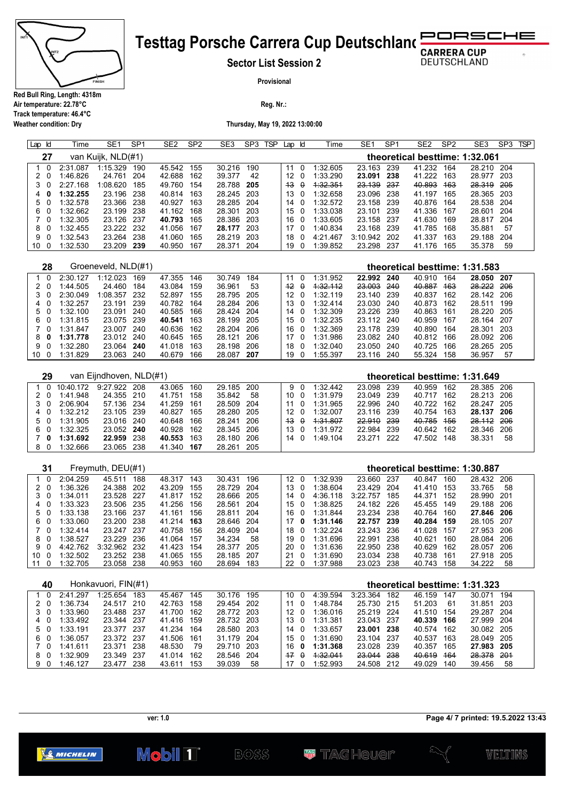

**Weather condition: Dry**

### **Testtag Porsche Carrera Cup Deutschland** RSCHE ∍

**Sector List Session 2**

**DEUTSCHLAND** 

 $\sigma$ 

**Provisional**

**Reg. Nr.:** 

**Thursday, May 19, 2022 13:00:00**

| Lap Id                        | Time                 | SE <sub>1</sub>         | SP <sub>1</sub> | SE <sub>2</sub>          | SP <sub>2</sub> | SE3              | SP <sub>3</sub> | <b>TSP</b> | Lap                   | ld                      | Time                 | SE <sub>1</sub>      | SP <sub>1</sub> | SE <sub>2</sub>                | SP <sub>2</sub> | SE3                      | SP <sub>3</sub><br><b>TSP</b> |
|-------------------------------|----------------------|-------------------------|-----------------|--------------------------|-----------------|------------------|-----------------|------------|-----------------------|-------------------------|----------------------|----------------------|-----------------|--------------------------------|-----------------|--------------------------|-------------------------------|
| 27                            |                      | van Kuijk, NLD(#1)      |                 |                          |                 |                  |                 |            |                       |                         |                      |                      |                 | theoretical besttime: 1:32.061 |                 |                          |                               |
| $\mathbf{1}$<br>0             | 2:31.087             | 1:15.329                | 190             | 45.542                   | 155             | 30.216           | 190             |            | 11                    | 0                       | 1:32.605             | 23.163               | 239             | 41.232                         | 164             | 28.210 204               |                               |
| $2\quad0$                     | 1:46.826             | 24.761                  | 204             | 42.688                   | 162             | 39.377           | 42              |            | 12                    | -0                      | 1:33.290             | 23.091 238           |                 | 41.222 163                     |                 | 28.977 203               |                               |
| 3<br>0                        | 2:27.168             | 1:08.620<br>23.196      | 185             | 49.760                   | 154             | 28.788<br>28.245 | 205             |            | 43                    | $\boldsymbol{\theta}$   | 4:32.354<br>1:32.658 | 23.139               | 237             | 40.893                         | 463             | <del>28.319</del>        | 205                           |
| 4<br>0<br>5<br>0              | 1:32.255<br>1:32.578 | 23.366                  | 238<br>238      | 40.814 163<br>40.927     | 163             | 28.285           | 203<br>204      |            | 13<br>14              | 0<br>0                  | 1:32.572             | 23.096<br>23.158     | 238<br>239      | 41.197 165<br>40.876           | 164             | 28.365 203<br>28.538 204 |                               |
| 6<br>0                        | 1:32.662             | 23.199                  | 238             | 41.162                   | 168             | 28.301           | 203             |            | 15                    | 0                       | 1:33.038             | 23.101               | 239             | 41.336                         | 167             | 28.601                   | 204                           |
| 7<br>0                        | 1:32.305             | 23.126                  | 237             | 40.793                   | 165             | 28.386           | 203             |            | 16                    | 0                       | 1:33.605             | 23.158               | 237             | 41.630                         | 169             | 28.817                   | 204                           |
| 8<br>0                        | 1:32.455             | 23.222 232              |                 | 41.056                   | 167             | 28.177           | 203             |            | 17                    | $\overline{\mathbf{0}}$ | 1:40.834             | 23.168               | 239             | 41.785                         | 168             | 35.881                   | 57                            |
| 9<br>0                        | 1:32.543             | 23.264                  | 238             | 41.060                   | 165             | 28.219           | 203             |            | 18                    | 0                       | 4:21.467             | 3:10.942             | 202             | 41.337 163                     |                 | 29.188                   | 204                           |
| 10<br>0                       | 1:32.530             | 23.209                  | 239             | 40.950                   | 167             | 28.371           | 204             |            | 19                    | 0                       | 1:39.852             | 23.298               | 237             | 41.176                         | 165             | 35.378                   | 59                            |
| 28                            |                      | Groeneveld, NLD(#1)     |                 |                          |                 |                  |                 |            |                       |                         |                      |                      |                 | theoretical besttime: 1:31.583 |                 |                          |                               |
| $\mathbf 0$<br>1              | 2:30.127             | 1:12.023                | 169             | 47.355                   | 146             | 30.749           | 184             |            | 11                    | 0                       | 1:31.952             | 22.992               | 240             | 40.910                         | 164             | 28.050 207               |                               |
| 2<br>0                        | 1:44.505             | 24.460                  | 184             | 43.084                   | 159             | 36.961           | 53              |            | $+2$                  | $\theta$                | 4:32.112             | 23.003               | 240             | 40.887 163                     |                 | <del>28.222</del>        | 206                           |
| 3<br>0                        | 2:30.049             | 1:08.357 232            |                 | 52.897                   | 155             | 28.795           | 205             |            | 12                    | 0                       | 1:32.119             | 23.140 239           |                 | 40.837 162                     |                 | 28.142 206               |                               |
| 4<br>0                        | 1:32.257             | 23.191                  | 239             | 40.782                   | 164             | 28.284           | 206             |            | 13                    | 0                       | 1:32.414             | 23.030               | 240             | 40.873                         | 162             | 28.511                   | 199                           |
| 5<br>0                        | 1:32.100             | 23.091                  | 240             | 40.585                   | 166             | 28.424           | 204             |            | 14                    | - 0                     | 1:32.309             | 23.226               | 239             | 40.863                         | 161             | 28.220 205               |                               |
| 6<br>0<br>$\overline{7}$      | 1:31.815             | 23.075                  | 239<br>240      | 40.541<br>40.636         | 163<br>162      | 28.199           | 205<br>206      |            | 15                    | 0                       | 1:32.235<br>1:32.369 | 23.112 240           | 239             | 40.959<br>40.890               | 167             | 28.164 207               | 203                           |
| 0<br>8<br>0                   | 1:31.847<br>1:31.778 | 23.007<br>23.012 240    |                 | 40.645                   | 165             | 28.204<br>28.121 | 206             |            | 16<br>17              | 0<br>0                  | 1:31.986             | 23.178<br>23.082 240 |                 | 40.812                         | 164<br>166      | 28.301<br>28.092 206     |                               |
| 9<br>0                        | 1:32.280             | 23.064                  | 240             | 41.018                   | 163             | 28.198           | 206             |            | 18                    | 0                       | 1:32.040             | 23.050 240           |                 | 40.725                         | 166             | 28.265 205               |                               |
| 10 <sub>0</sub>               | 1:31.829             | 23.063 240              |                 | 40.679                   | 166             | 28.087           | 207             |            | 19                    | $\mathbf 0$             | 1:55.397             | 23.116 240           |                 | 55.324 158                     |                 | 36.957                   | 57                            |
|                               |                      |                         |                 |                          |                 |                  |                 |            |                       |                         |                      |                      |                 |                                |                 |                          |                               |
| 29                            |                      | van Eijndhoven, NLD(#1) |                 |                          |                 |                  |                 |            |                       |                         |                      |                      |                 | theoretical besttime: 1:31.649 |                 |                          |                               |
| $\mathbf{1}$<br>0             | 10:40.172            | 9:27.922                | 208             | 43.065                   | 160             | 29.185           | 200             |            | 9                     | 0                       | 1:32.442             | 23.098               | 239             | 40.959                         | 162             | 28.385                   | 206                           |
| 2<br>-0<br>3<br>0             | 1:41.948<br>2:06.904 | 24.355<br>57.136        | 210<br>234      | 41.751<br>41.259         | 158<br>161      | 35.842<br>28.509 | 58<br>204       |            | 10<br>11              | 0<br>0                  | 1:31.979<br>1:31.965 | 23.049<br>22.996     | 239<br>240      | 40.717 162<br>40.722 162       |                 | 28.213<br>28.247 205     | 206                           |
| 4<br>0                        | 1:32.212             | 23.105                  | 239             | 40.827                   | 165             | 28.280           | 205             |            | 12                    | 0                       | 1:32.007             | 23.116               | 239             | 40.754                         | 163             | 28.137 206               |                               |
| 5<br>-0                       | 1:31.905             | 23.016 240              |                 | 40.648                   | 166             | 28.241           | 206             |            | 43                    | $\theta$                | 4:31.807             | 22.910               | 239             | 40.785 156                     |                 | 28.112 206               |                               |
| 6<br>0                        | 1:32.325             | 23.052 240              |                 | 40.928                   | 162             | 28.345           | 206             |            | 13                    | 0                       | 1:31.972             | 22.984               | 239             | 40.642 162                     |                 | 28.346                   | 206                           |
| 7<br>0                        | 1:31.692             | 22.959                  | 238             | 40.553                   | 163             | 28.180           | 206             |            | 14 0                  |                         | 1:49.104             | 23.271 222           |                 | 47.502 148                     |                 | 38.331                   | 58                            |
| 8<br>0                        | 1:32.666             | 23.065                  | 238             | 41.340                   | 167             | 28.261           | 205             |            |                       |                         |                      |                      |                 |                                |                 |                          |                               |
|                               |                      |                         |                 |                          |                 |                  |                 |            |                       |                         |                      |                      |                 |                                |                 |                          |                               |
| 31                            |                      | Freymuth, DEU(#1)       |                 |                          |                 |                  |                 |            |                       |                         |                      |                      |                 | theoretical besttime: 1:30.887 |                 |                          |                               |
| $\mathbf 0$<br>1<br>$2\quad0$ | 2:04.259<br>1:36.326 | 45.511<br>24.388        | 188             | 48.317<br>43.209         | 143<br>155      | 30.431<br>28.729 | 196<br>204      |            | 12 <sub>0</sub><br>13 | 0                       | 1:32.939<br>1:38.604 | 23.660<br>23.429     | 237<br>204      | 40.847<br>41.410 153           | 160             | 28.432 206<br>33.765     | 58                            |
| 3<br>0                        | 1:34.011             | 23.528 227              | 202             | 41.817 152               |                 | 28.666           | 205             |            | 14                    | 0                       | 4:36.118             | 3:22.757 185         |                 | 44.371 152                     |                 | 28.990 201               |                               |
| 4<br>0                        | 1:33.323             | 23.506                  | 235             | 41.256                   | 156             | 28.561           | 204             |            | 15                    | 0                       | 1:38.825             | 24.182               | 226             | 45.455                         | 149             | 29.188                   | 206                           |
| 5<br>0                        | 1:33.138             | 23.166 237              |                 | 41.161                   | 156             | 28.811           | 204             |            | 16                    | 0                       | 1:31.844             | 23.234 238           |                 | 40.764 160                     |                 | 27.846 206               |                               |
| 6<br>0                        | 1:33.060             | 23.200                  | 238             | 41.214                   | 163             | 28.646           | 204             |            | 17                    | 0                       | 1:31.146             | 22.757               | 239             | 40.284                         | 159             | 28.105                   | 207                           |
| 7 <sup>1</sup><br>0           | 1:32.414             | 23.247 237              |                 | 40.758                   | 156             | 28.409           | 204             |            | 18                    | 0                       | 1:32.224             | 23.243               | 236             | 41.028                         | 157             | 27.953 206               |                               |
| 8<br>0                        | 1:38.527             | 23.229                  | 236             | 41.064                   | 157             | 34.234           | 58              |            | 19                    | 0                       | 1:31.696             | 22.991               | 238             | 40.621                         | 160             | 28.084                   | 206                           |
| 9<br>0<br>10 <sub>0</sub>     | 4:42.762<br>1:32.502 | 3:32.962 232<br>23.252  | 238             | 41.423<br>41.065         | 154<br>155      | 28.377<br>28.185 | 205<br>207      |            | 20<br>21              | 0<br>0                  | 1:31.636<br>1:31.690 | 22.950<br>23.034     | 238<br>238      | 40.629<br>40.738               | 162<br>161      | 28.057 206<br>27.918     | 205                           |
| 11 <sub>0</sub>               | 1:32.705             | 23.058 238              |                 | 40.953                   | 160             | 28.694 183       |                 |            | 22                    | 0                       | 1:37.988             | 23.023 238           |                 | 40.743 158                     |                 | 34.222                   | 58                            |
|                               |                      |                         |                 |                          |                 |                  |                 |            |                       |                         |                      |                      |                 |                                |                 |                          |                               |
| 40                            |                      | Honkavuori, FIN(#1)     |                 |                          |                 |                  |                 |            |                       |                         |                      |                      |                 | theoretical besttime: 1:31.323 |                 |                          |                               |
| 0<br>$\mathbf{1}$             | 2:41.297             | 1:25.654 183            |                 | 45.467 145               |                 | 30.176           | 195             |            | 10                    | 0                       | 4:39.594             | 3:23.364             | 182             | 46.159                         | 147             | 30.071 194               |                               |
| $2\quad0$<br>3 <sub>0</sub>   | 1:36.734<br>1:33.960 | 24.517 210<br>23.488    | 237             | 42.763 158<br>41.700 162 |                 | 29.454<br>28.772 | 202<br>203      |            | 11<br>12              | 0<br>0                  | 1:48.784<br>1:36.016 | 25.730 215<br>25.219 | 224             | 51.203<br>41.510               | 61<br>154       | 31.851 203<br>29.287 204 |                               |
| 40                            | 1:33.492             | 23.344 237              |                 | 41.416 159               |                 | 28.732 203       |                 |            | 13                    | 0                       | 1:31.381             | 23.043 237           |                 | 40.339 166                     |                 | 27.999 204               |                               |
| 5 0                           | 1:33.191             | 23.377 237              |                 | 41.234                   | 164             | 28.580           | 203             |            | 14                    | 0                       | 1:33.657             | 23.001 238           |                 | 40.574 162                     |                 | 30.082 205               |                               |
| 60                            | 1:36.057             | 23.372 237              |                 | 41.506                   | 161             | 31.179           | 204             |            | 15                    | 0                       | 1:31.690             | 23.104 237           |                 | 40.537 163                     |                 | 28.049 205               |                               |
| $7^{\circ}$<br>0              | 1:41.611             | 23.371                  | 238             | 48.530                   | 79              | 29.710           | 203             |            | 16                    | 0                       | 1:31.368             | 23.028               | 239             | 40.357                         | 165             | 27.983 205               |                               |
| 80                            | 1:32.909             | 23.349 237              |                 | 41.014                   | 162             | 28.546           | 204             |            | $+7$                  | $\theta$                | 1:32.041             | 23.044 238           |                 | 40.619 164                     |                 | 28.378                   | 201                           |
| 9 0                           | 1:46.127             | 23.477 238              |                 | 43.611 153               |                 | 39.039           | 58              |            | 17 0                  |                         | 1:52.993             | 24.508 212           |                 | 49.029 140                     |                 | 39.456                   | 58                            |

**Page 4/ 7 printed: 19.5.2022 13:43**

**ver: 1.0**



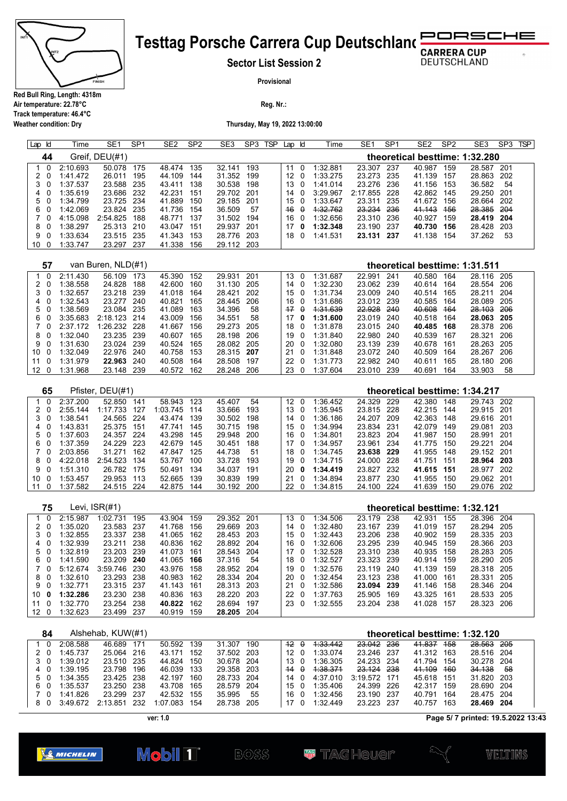

**Weather condition: Dry**

### **Testtag Porsche Carrera Cup Deutschland** RSCHE D C

**Sector List Session 2**

**DEUTSCHLAND** 

 $\sigma$ 

**Provisional**

**Reg. Nr.:** 

**Thursday, May 19, 2022 13:00:00**

| Lap Id                       | Time                 | SE <sub>1</sub>              | SP <sub>1</sub> | SE <sub>2</sub>          | SP <sub>2</sub> | SE <sub>3</sub>          | SP3 TSP    | Lap Id                |                         | Time                 | SE <sub>1</sub>                     | SP <sub>1</sub> | SE <sub>2</sub>                          | SP <sub>2</sub> | SE <sub>3</sub>                 | SP3 TSP    |  |
|------------------------------|----------------------|------------------------------|-----------------|--------------------------|-----------------|--------------------------|------------|-----------------------|-------------------------|----------------------|-------------------------------------|-----------------|------------------------------------------|-----------------|---------------------------------|------------|--|
| 44                           |                      | Greif, DEU(#1)               |                 |                          |                 |                          |            |                       |                         |                      |                                     |                 | theoretical besttime: 1:32.280           |                 |                                 |            |  |
| 0<br>$\mathbf{1}$            | 2:10.693             | 50.078                       | 175             | 48.474                   | 135             | 32.141                   | 193        | 11                    | $\mathbf 0$             | 1:32.881             | 23.307                              | 237             | 40.987                                   | 159             | 28.587                          | 201        |  |
| 2<br>0                       | 1:41.472             | 26.011                       | 195             | 44.109                   | 144             | 31.352                   | 199        | 12                    | 0                       | 1:33.275             | 23.273                              | 235             | 41.139 157                               |                 | 28.863                          | 202        |  |
| 3<br>0                       | 1:37.537             | 23.588                       | 235             | 43.411                   | 138             | 30.538                   | 198        | 13                    | 0                       | 1:41.014             | 23.276                              | 236             | 41.156 153                               |                 | 36.582                          | 54         |  |
| 4<br>0                       | 1:35.619             | 23.686                       | 232             | 42.231                   | 151             | 29.702                   | 201        | 14                    | 0                       | 3:29.967             | 2:17.855                            | 228             | 42.862                                   | 145             | 29.250                          | 201        |  |
| 5<br>- 0                     | 1:34.799             | 23.725                       | 234             | 41.889                   | 150             | 29.185                   | 201        | 15                    | 0                       | 1:33.647             | 23.311                              | 235             | 41.672                                   | 156             | 28.664                          | 202        |  |
| 6<br>0                       | 1:42.069             | 23.824                       | 235             | 41.736                   | 154             | 36.509                   | 57<br>194  | 46                    | $\theta$                | 4:32.762             | <del>23.23</del> 4                  | 236<br>236      | 41.143                                   | 456             | <del>28.385</del>               | 204        |  |
| 7<br>0<br>8<br>0             | 4:15.098<br>1:38.297 | 2:54.825<br>25.313           | 188<br>210      | 48.771<br>43.047         | 137<br>151      | 31.502<br>29.937         | 201        | 16<br>17 <sub>0</sub> | 0                       | 1:32.656<br>1:32.348 | 23.310<br>23.190                    | 237             | 40.927<br>40.730                         | 159<br>156      | 28.419<br>28.428                | 204<br>203 |  |
| 9<br>0                       | 1:33.634             | 23.515 235                   |                 | 41.343                   | 153             | 28.776                   | 203        | 18                    | 0                       | 1:41.531             | 23.131 237                          |                 | 41.138 154                               |                 | 37.262                          | 53         |  |
| 10 <sub>0</sub>              | 1:33.747             | 23.297 237                   |                 | 41.338                   | 156             | 29.112                   | 203        |                       |                         |                      |                                     |                 |                                          |                 |                                 |            |  |
|                              |                      |                              |                 |                          |                 |                          |            |                       |                         |                      |                                     |                 |                                          |                 |                                 |            |  |
| 57<br>$\mathbf{1}$<br>0      | 2:11.430             | van Buren, NLD(#1)<br>56.109 | 173             | 45.390                   | 152             | 29.931                   | 201        | 13                    | 0                       | 1:31.687             | 22.991                              | 241             | theoretical besttime: 1:31.511<br>40.580 | 164             | 28.116 205                      |            |  |
| 2<br>- 0                     | 1:38.558             | 24.828                       | 188             | 42.600                   | 160             | 31.130                   | 205        | 14                    | 0                       | 1:32.230             | 23.062 239                          |                 | 40.614                                   | 164             | 28.554                          | 206        |  |
| 3<br>- 0                     | 1:32.657             | 23.218 239                   |                 | 41.018                   | 164             | 28.421                   | 202        | 15                    | 0                       | 1:31.734             | 23.009 240                          |                 | 40.514                                   | 165             | 28.211                          | 204        |  |
| 4<br>0                       | 1:32.543             | 23.277                       | 240             | 40.821                   | 165             | 28.445                   | 206        | 16                    | 0                       | 1:31.686             | 23.012 239                          |                 | 40.585                                   | 164             | 28.089                          | 205        |  |
| 5<br>- 0                     | 1:38.569             | 23.084 235                   |                 | 41.089                   | 163             | 34.396                   | 58         | 47                    | $\theta$                | 4:31.639             | <del>22.928</del> 240               |                 | 40.608                                   | - 164           | 28.103 206                      |            |  |
| 6<br>0                       | 3:35.683             | 2:18.123                     | 214             | 43.009                   | 156             | 34.551                   | 58         | 17                    | 0                       | 1:31.600             | 23.019                              | 240             | 40.518                                   | 164             | 28.063 205                      |            |  |
| $\mathbf{7}$<br>0            | 2:37.172             | 1:26.232 228                 |                 | 41.667                   | 156             | 29.273                   | 205        | 18                    | 0                       | 1:31.878             | 23.015 240                          |                 | 40.485                                   | 168             | 28.378 206                      |            |  |
| 8<br>0<br>9<br>- 0           | 1:32.040<br>1:31.630 | 23.235<br>23.024 239         | 239             | 40.607<br>40.524         | 165<br>165      | 28.198<br>28.082         | 206<br>205 | 19<br>20              | 0<br>0                  | 1:31.840<br>1:32.080 | 22.980<br>23.139 239                | 240             | 40.539<br>40.678                         | 167<br>161      | 28.321<br>28.263 205            | 206        |  |
| 10<br>- 0                    | 1:32.049             | 22.976                       | 240             | 40.758                   | 153             | 28.315                   | 207        | 21                    | 0                       | 1:31.848             | 23.072 240                          |                 | 40.509                                   | 164             | 28.267                          | 206        |  |
| 11 0                         | 1:31.979             | 22.963 240                   |                 | 40.508                   | 164             | 28.508                   | 197        | 22                    | 0                       | 1:31.773             | 22.982 240                          |                 | 40.611                                   | 165             | 28.180                          | 206        |  |
| 12 <sub>0</sub>              | 1:31.968             | 23.148 239                   |                 | 40.572                   | 162             | 28.248                   | 206        | 23                    | $\mathbf 0$             | 1:37.604             | 23.010 239                          |                 | 40.691                                   | 164             | 33.903                          | 58         |  |
|                              |                      |                              |                 |                          |                 |                          |            |                       |                         |                      |                                     |                 |                                          |                 |                                 |            |  |
| 65                           |                      | Pfister, DEU(#1)             |                 |                          |                 |                          |            |                       |                         |                      |                                     |                 | theoretical besttime: 1:34.217           |                 |                                 |            |  |
| $\mathbf 0$<br>$\mathbf{1}$  | 2:37.200             | 52.850                       | 141             | 58.943                   | 123             | 45.407                   | 54         | $12 \overline{ }$     | - 0                     | 1:36.452             | 24.329                              | 229             | 42.380                                   | 148             | 29.743 202                      |            |  |
| 2<br>- 0                     | 2:55.144             | 1:17.733                     | 127             | 1:03.745                 | 114             | 33.666                   | 193        | 13                    | 0                       | 1:35.945             | 23.815                              | 228             | 42.215                                   | 144             | 29.915 201                      |            |  |
| 3<br>- 0<br>4<br>0           | 1:38.541<br>1:43.831 | 24.565<br>25.375             | 224<br>151      | 43.474<br>47.741         | 139<br>145      | 30.502<br>30.715         | 198<br>198 | 14<br>15              | - 0<br>0                | 1:36.186<br>1:34.994 | 24.207 209<br>23.834                | 231             | 42.363 148<br>42.079                     | 149             | 29.616 201<br>29.081            | 203        |  |
| 5<br>- 0                     | 1:37.603             | 24.357 224                   |                 | 43.298                   | 145             | 29.948                   | 200        | 16                    | 0                       | 1:34.801             | 23.823                              | 204             | 41.987 150                               |                 | 28.991                          | 201        |  |
| 6<br>0                       | 1:37.359             | 24.229                       | 223             | 42.679                   | 145             | 30.451                   | 188        | 17                    | 0                       | 1:34.957             | 23.961                              | 234             | 41.775                                   | 150             | 29.221                          | 204        |  |
| 7<br>0                       | 2:03.856             | 31.271                       | 162             | 47.847                   | 125             | 44.738                   | 51         | 18                    | 0                       | 1:34.745             | 23.638                              | 229             | 41.955                                   | 148             | 29.152 201                      |            |  |
| 8<br>0                       | 4:22.018             | 2:54.523                     | 134             | 53.767                   | 100             | 33.728                   | 193        | 19                    | 0                       | 1:34.715             | 24.000                              | 228             | 41.751                                   | 151             | 28.964 203                      |            |  |
| 9<br>0                       | 1:51.310             | 26.782 175                   |                 | 50.491                   | 134             | 34.037                   | 191        | 20                    | 0                       | 1:34.419             | 23.827 232                          |                 | 41.615 151                               |                 | 28.977 202                      |            |  |
| 10 <sub>0</sub>              | 1:53.457             | 29.953                       | 113             | 52.665                   | 139             | 30.839                   | 199        | 21                    | 0                       | 1:34.894             | 23.877                              | 230             | 41.955                                   | 150             | 29.062 201                      |            |  |
| 11<br>0                      | 1:37.582             | 24.515 224                   |                 | 42.875                   | 144             | 30.192                   | 200        | 22                    | 0                       | 1:34.815             | 24.100 224                          |                 | 41.639                                   | 150             | 29.076 202                      |            |  |
| 75                           |                      | Levi, ISR(#1)                |                 |                          |                 |                          |            |                       |                         |                      |                                     |                 | theoretical besttime: 1:32.121           |                 |                                 |            |  |
| 1<br>0                       | 2:15.987             | 1:02.731                     | 195             | 43.904                   | 159             | 29.352                   | 201        | 13                    | 0                       | 1:34.506             | 23.179                              | 238             | 42.931                                   | 155             | 28.396                          | 204        |  |
| 2<br>$\overline{\mathbf{0}}$ | 1:35.020             | 23.583                       | 237             | 41.768                   | 156             | 29.669                   | 203        | 14                    | - 0                     | 1:32.480             | 23.167 239                          |                 | 41.019                                   | 157             | 28.294                          | 205        |  |
| 3<br>0<br>4<br>0             | 1:32.855<br>1:32.939 | 23.337<br>23.211             | 238<br>238      | 41.065<br>40.836         | 162<br>162      | 28.453<br>28.892         | 203<br>204 | 15<br>16              | 0<br>0                  | 1:32.443<br>1:32.606 | 23.206<br>23.295                    | 238<br>239      | 40.902                                   | 159<br>159      | 28.335 203<br>28.366            | 203        |  |
| 5 0                          | 1:32.819             | 23.203 239                   |                 | 41.073                   | 161             | 28.543                   | 204        | 17                    | 0                       | 1:32.528             | 23.310 238                          |                 | 40.945<br>40.935                         | 158             | 28.283 205                      |            |  |
| 6<br>$\overline{0}$          | 1:41.590             | 23.209 240                   |                 | 41.065 166               |                 | 37.316                   | - 54       | 18 0                  |                         | 1:32.527             | 23.323 239                          |                 | 40.914 159                               |                 | 28.290 205                      |            |  |
| 70                           | 5:12.674             | 3:59.746 230                 |                 | 43.976 158               |                 | 28.952 204               |            | 19 0                  |                         | 1:32.576             | 23.119 240                          |                 | 41.139 159                               |                 | 28.318 205                      |            |  |
| 80                           | 1:32.610             | 23.293 238                   |                 | 40.983 162               |                 | 28.334 204               |            | 20                    | 0                       | 1:32.454             | 23.123 238                          |                 | 41.000 161                               |                 | 28.331 205                      |            |  |
| 9 0                          | 1:32.771             | 23.315 237                   |                 | 41.143 161               |                 | 28.313 203               |            | 21                    | $\overline{0}$          | 1:32.586             | 23.094 239                          |                 | 41.146 158                               |                 | 28.346 204                      |            |  |
| 10 <sub>0</sub>              | 1:32.286             | 23.230 238                   |                 | 40.836 163               |                 | 28.220 203               |            | 22                    | $\overline{\mathbf{0}}$ | 1:37.763             | 25.905 169                          |                 | 43.325 161                               |                 | 28.533 205                      |            |  |
| 11 <sub>0</sub>              | 1:32.770             | 23.254 238                   |                 | 40.822 162               |                 | 28.694 197               |            | 230                   |                         | 1:32.555             | 23.204 238                          |                 | 41.028 157                               |                 | 28.323 206                      |            |  |
| 12 <sub>0</sub>              | 1:32.623             | 23.499 237                   |                 | 40.919 159               |                 | 28.205 204               |            |                       |                         |                      |                                     |                 |                                          |                 |                                 |            |  |
| 84                           |                      | Alshehab, KUW(#1)            |                 |                          |                 |                          |            |                       |                         |                      |                                     |                 | theoretical besttime: 1:32.120           |                 |                                 |            |  |
| $\mathbf{1}$<br>0            | 2:08.588             | 46.689 171                   |                 | 50.592 139               |                 | 31.307 190               |            | $12 \theta$           |                         | 1:33.442             | 23.042 236                          |                 | 41.837 158                               |                 | 28.563 205                      |            |  |
| $2\quad0$                    | 1:45.737             | 25.064 216                   |                 | 43.171 152               |                 | 37.502 203               |            | 12 <sub>0</sub>       |                         | 1:33.074             | 23.246 237                          |                 | 41.312 163                               |                 | 28.516 204                      |            |  |
| 3 0<br>40                    | 1:39.012<br>1:39.195 | 23.510 235<br>23.798 196     |                 | 44.824 150<br>46.039 133 |                 | 30.678 204<br>29.358 203 |            | 13 0<br>$44 \theta$   |                         | 1:36.305<br>4:38.371 | 24.233 234<br><del>23.124</del> 238 |                 | 41.794 154<br>41.109 160                 |                 | 30.278 204<br><del>34.138</del> | - 58       |  |
| 5 0                          | 1:34.355             | 23.425 238                   |                 | 42.197 160               |                 | 28.733 204               |            | 14                    | $\overline{0}$          | 4:37.010             | 3:19.572 171                        |                 | 45.618 151                               |                 | 31.820 203                      |            |  |
| 60                           | 1:35.537             | 23.250 238                   |                 | 43.708 165               |                 | 28.579 204               |            | 15 0                  |                         | 1:35.406             | 24.399 226                          |                 | 42.317 159                               |                 | 28.690 204                      |            |  |
| 7 0                          | 1:41.826             | 23.299 237                   |                 | 42.532 155               |                 | 35.995                   | 55         | 16                    | $\overline{0}$          | 1:32.456             | 23.190 237                          |                 | 40.791 164                               |                 | 28.475 204                      |            |  |
| 8 0                          | 3:49.672             | 2:13.851 232                 |                 | 1:07.083 154             |                 | 28.738 205               |            | 17 0                  |                         | 1:32.449             | 23.223 237                          |                 | 40.757 163                               |                 | 28.469 204                      |            |  |

**ver: 1.0**

**Mobil T** 

**Page 5/ 7 printed: 19.5.2022 13:43**



 $BOSS$ 

**W** TAGHQUQI?

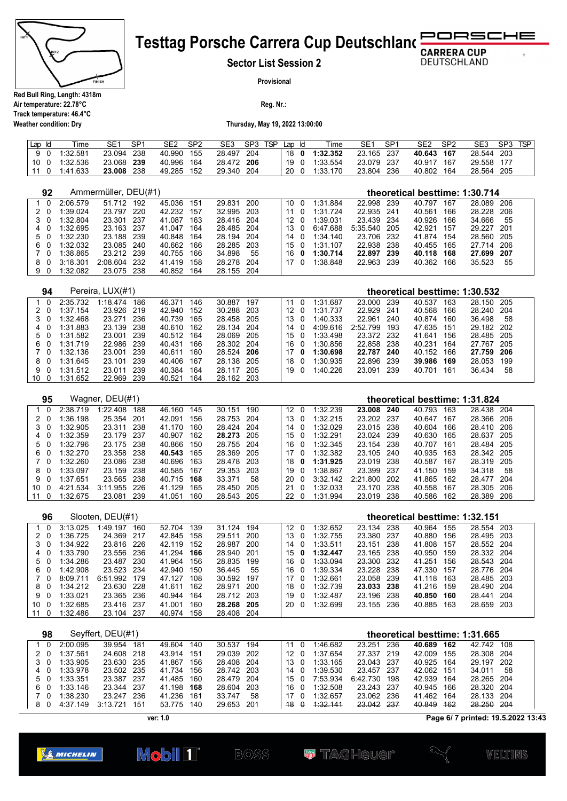

# RSCHE **Testtag Porsche Carrera Cup Deutschland**

**Sector List Session 2**

**DEUTSCHLAND** 

 $\sigma$ 

**Provisional**

**Reg. Nr.:** 

**Air temperature: 22.78°C Track temperature: 46.4°C Weather condition: Dry**

**Thursday, May 19, 2022 13:00:00**

| Lap Id |  | Time          | SE <sub>1</sub> | SP <sup>4</sup> | SE2        | SP <sub>2</sub> | SE <sub>3</sub> | SP3 TSP | Lap Id | Time          | SE1        | SP <sub>1</sub> | SE <sub>2</sub> | SP <sub>2</sub> | SE <sub>3</sub> | SP3 | <b>TSP</b> |
|--------|--|---------------|-----------------|-----------------|------------|-----------------|-----------------|---------|--------|---------------|------------|-----------------|-----------------|-----------------|-----------------|-----|------------|
|        |  | 9 0 1:32.581  | 23.094          | - 238           | 40.990 155 |                 | 28.497 204      |         |        | 18 0 1:32.352 | 23.165 237 |                 | 40.643 167      |                 | 28.544 203      |     |            |
|        |  | 10 0 1:32.536 | 23.068 239      |                 | 40.996 164 |                 | 28.472 206      |         |        | 19 0 1:33.554 | 23.079 237 |                 | 40.917 167      |                 | 29.558 177      |     |            |
| 11     |  | 0 1:41.633    | 23.008          | -238            | 49.285     | 152             | 29.340          | 204     | 20 0   | 1:33.170      | 23.804 236 |                 | 40.802 164      |                 | 28.564 205      |     |            |

|  | 92            |          | Ammermüller, DEU(#1) |     |        |     |        |     |  |                  | theoretical besttime: 1:30.714 |          |                                |     |                                |     |        |     |  |  |
|--|---------------|----------|----------------------|-----|--------|-----|--------|-----|--|------------------|--------------------------------|----------|--------------------------------|-----|--------------------------------|-----|--------|-----|--|--|
|  | 0             | 2:06.579 | 51.712               | 192 | 45.036 | 151 | 29.831 | 200 |  | 10               | 0                              | 1:31.884 | 22.998                         | 239 | 40.797                         | 167 | 28.089 | 206 |  |  |
|  | 2<br>0        | 1:39.024 | 23.797               | 220 | 42.232 | 157 | 32.995 | 203 |  | 11               | $\Omega$                       | 1:31.724 | 22.935                         | 241 | 40.561                         | 166 | 28.228 | 206 |  |  |
|  | 0             | 1:32.804 | 23.301               | 237 | 41.087 | 163 | 28.416 | 204 |  | 12               | 0                              | 1:39.031 | 23.439                         | 234 | 40.926                         | 166 | 34.666 | 55  |  |  |
|  | 4             | 1:32.695 | 23.163               | 237 | 41.047 | 164 | 28.485 | 204 |  | 13               | $\Omega$                       | 6:47.688 | 5:35.540                       | 205 | 42.921                         | 157 | 29.227 | 201 |  |  |
|  | 5<br>0        | 1:32.230 | 23.188               | 239 | 40.848 | 164 | 28.194 | 204 |  | 14               | 0                              | 1:34.140 | 23.706                         | 232 | 41.874                         | 154 | 28.560 | 205 |  |  |
|  | 6<br>0        | 1:32.032 | 23.085               | 240 | 40.662 | 166 | 28.285 | 203 |  | 15               | 0                              | 1:31.107 | 22.938                         | 238 | 40.455                         | 165 | 27.714 | 206 |  |  |
|  | 0             | 1:38.865 | 23.212               | 239 | 40.755 | 166 | 34.898 | 55  |  | 16               | 0                              | 1:30.714 | 22.897                         | 239 | 40.118                         | 168 | 27.699 | 207 |  |  |
|  | 8<br>$\Omega$ | 3:18.301 | 2:08.604             | 232 | 41.419 | 158 | 28.278 | 204 |  | 17               | 0                              | 1:38.848 | 22.963                         | 239 | 40.362                         | 166 | 35.523 | 55  |  |  |
|  | 9<br>0        | 1:32.082 | 23.075               | 238 | 40.852 | 164 | 28.155 | 204 |  |                  |                                |          |                                |     |                                |     |        |     |  |  |
|  |               |          |                      |     |        |     |        |     |  |                  |                                |          |                                |     |                                |     |        |     |  |  |
|  | 94            |          | Pereira, LUX(#1)     |     |        |     |        |     |  |                  |                                |          | theoretical besttime: 1:30.532 |     |                                |     |        |     |  |  |
|  | 0             | 2:35.732 | 1:18.474             | 186 | 46.371 | 146 | 30.887 | 197 |  | 11               | 0                              | 1:31.687 | 23.000                         | 239 | 40.537                         | 163 | 28.150 | 205 |  |  |
|  | $\Omega$      | 1:37.154 | 23.926               | 219 | 42.940 | 152 | 30.288 | 203 |  | 12               | $\Omega$                       | 1:31.737 | 22.929                         | 241 | 40.568                         | 166 | 28.240 | 204 |  |  |
|  | 3<br>0        | 1:32.468 | 23.271               | 236 | 40.739 | 165 | 28.458 | 205 |  | 13               | 0                              | 1:40.333 | 22.961                         | 240 | 40.874                         | 160 | 36.498 | 58  |  |  |
|  | 4             | 1:31.883 | 23.139               | 238 | 40.610 | 162 | 28.134 | 204 |  | 14               | $\Omega$                       | 4:09.616 | 2:52.799                       | 193 | 47.635                         | 151 | 29.182 | 202 |  |  |
|  | 5             | 1:31.582 | 23.001               | 239 | 40.512 | 164 | 28.069 | 205 |  | 15               | 0                              | 1:33.498 | 23.372                         | 232 | 41.641                         | 156 | 28.485 | 205 |  |  |
|  | 6<br>0        | 1:31.719 | 22.986               | 239 | 40.431 | 166 | 28.302 | 204 |  | 16               | $\Omega$                       | 1:30.856 | 22.858                         | 238 | 40.231                         | 164 | 27.767 | 205 |  |  |
|  | 0             | 1:32.136 | 23.001               | 239 | 40.611 | 160 | 28.524 | 206 |  | 17               | 0                              | 1:30.698 | 22.787                         | 240 | 40.152                         | 166 | 27.759 | 206 |  |  |
|  | 8<br>$\Omega$ | 1:31.645 | 23.101               | 239 | 40.406 | 167 | 28.138 | 205 |  | 18               | 0                              | 1:30.935 | 22.896                         | 239 | 39.986                         | 169 | 28.053 | 199 |  |  |
|  | 9<br>$\Omega$ | 1:31.512 | 23.011               | 239 | 40.384 | 164 | 28.117 | 205 |  | 19               | $\Omega$                       | 1:40.226 | 23.091                         | 239 | 40.701                         | 161 | 36.434 | 58  |  |  |
|  | 10<br>0       | 1:31.652 | 22.969               | 239 | 40.521 | 164 | 28.162 | 203 |  |                  |                                |          |                                |     |                                |     |        |     |  |  |
|  |               |          |                      |     |        |     |        |     |  |                  |                                |          |                                |     |                                |     |        |     |  |  |
|  | 95            |          | Wagner, DEU(#1)      |     |        |     |        |     |  |                  |                                |          |                                |     | theoretical besttime: 1:31.824 |     |        |     |  |  |
|  | $\Omega$      | 2:38.719 | 1:22.408             | 188 | 46.160 | 145 | 30.151 | 190 |  | 12 <sup>12</sup> | $\overline{0}$                 | 1:32.239 | 23.008                         | 240 | 40.793                         | 163 | 28.438 | 204 |  |  |
|  |               |          |                      |     |        |     |        |     |  |                  |                                |          |                                |     |                                |     |        |     |  |  |

|    | -------       |              |       |            |       |            | .   |  |               | ------ --    |            |     |            |      |  |
|----|---------------|--------------|-------|------------|-------|------------|-----|--|---------------|--------------|------------|-----|------------|------|--|
|    | 2 0 1:36.198  | 25.354 201   |       | 42.091     | 156   | 28.753 204 |     |  | 13 0 1:32.215 | 23.202 237   | 40.647 167 |     | 28.366 206 |      |  |
| 30 | 1:32.905      | 23.311 238   |       | 41.170 160 |       | 28.424 204 |     |  | 14 0 1:32.029 | 23.015 238   | 40.604 166 |     | 28.410 206 |      |  |
|    | 4 0 1:32.359  | 23.179 237   |       | 40.907 162 |       | 28.273 205 |     |  | 15 0 1:32.291 | 23.024 239   | 40.630 165 |     | 28.637 205 |      |  |
|    | 5 0 1:32.796  | 23.175 238   |       | 40.866 150 |       | 28.755 204 |     |  | 16 0 1:32.345 | 23.154 238   | 40.707 161 |     | 28.484 205 |      |  |
|    | 6 0 1:32.270  | 23.358 238   |       | 40.543 165 |       | 28.369 205 |     |  | 17 0 1:32.382 | 23.105 240   | 40.935 163 |     | 28.342 205 |      |  |
|    | 7 0 1:32.260  | 23.086 238   |       | 40.696 163 |       | 28.478 203 |     |  | 18 0 1:31.925 | 23.019 238   | 40.587 167 |     | 28.319 205 |      |  |
|    | 8 0 1:33.097  | 23.159 238   |       | 40.585 167 |       | 29.353 203 |     |  | 19 0 1:38.867 | 23.399 237   | 41.150 159 |     | 34.318 58  |      |  |
|    | 9 0 1:37.651  | 23.565 238   |       | 40.715 168 |       | 33.371     | -58 |  | 20 0 3:32.142 | 2:21.800 202 | 41.865 162 |     | 28.477 204 |      |  |
|    | 10 0 4:21.534 | 3:11.955 226 |       | 41.129     | - 165 | 28.450 205 |     |  | 21 0 1:32.033 | 23.170 238   | 40.558 167 |     | 28.305     | -206 |  |
|    | 11 0 1:32.675 | 23.081       | - 239 | 41.051     | 160   | 28.543 205 |     |  | 22 0 1:31.994 | 23.019 238   | 40.586     | 162 | 28.389 206 |      |  |

|      | 96  |          | Slooten, DEU(#1) |      |        |     |            |       |                 |          | theoretical besttime: 1:32.151 |       |        |     |            |       |  |  |
|------|-----|----------|------------------|------|--------|-----|------------|-------|-----------------|----------|--------------------------------|-------|--------|-----|------------|-------|--|--|
|      | 10  | 3:13.025 | 1:49.197         | 160  | 52.704 | 139 | 31.124     | 194   | 12 <sub>0</sub> | 1:32.652 | 23.134 238                     |       | 40.964 | 155 | 28.554 203 |       |  |  |
|      | 20  | 1:36.725 | 24.369           | 217  | 42.845 | 158 | 29.511     | 200   | 13 0            | 1:32.755 | 23.380 237                     |       | 40.880 | 156 | 28.495 203 |       |  |  |
|      | 3 O | 1:34.922 | 23.816 226       |      | 42.119 | 152 | 28.987     | 200   | 14 O            | 1:33.511 | 23.151                         | - 238 | 41.808 | 157 | 28.552 204 |       |  |  |
|      | 4 0 | 1:33.790 | 23.556 236       |      | 41.294 | 166 | 28.940     | -201  | 15 $\theta$     | 1:32.447 | 23.165 238                     |       | 40.950 | 159 | 28.332 204 |       |  |  |
|      | 50  | 1:34.286 | 23.487           | 230  | 41.964 | 156 | 28.835     | 199   | $46 \theta$     | 4:33.094 | 23.300 232                     |       | 41.251 | 456 | 28.543 204 |       |  |  |
|      | 60  | 1:42.908 | 23.523           | -234 | 42.940 | 150 | 36.445     | 55    | 16 0            | 1:39.334 | 23.228 238                     |       | 47.330 | 157 | 28.776 204 |       |  |  |
|      | 70  | 8:09.711 | 6:51.992         | 179  | 47 127 | 108 | 30.592     | 197   | 17 0            | 1:32.661 | 23.058 239                     |       | 41.118 | 163 | 28.485 203 |       |  |  |
|      | 80  | 1:34.212 | 23.630           | -228 | 41.611 | 162 | 28.971     | 200   | 18 0            | 1:32.739 | 23.033 238                     |       | 41.216 | 159 | 28.490 204 |       |  |  |
|      | 9 O | 1:33.021 | 23.365 236       |      | 40.944 | 164 | 28.712 203 |       | 190             | 1:32.487 | 23.196 238                     |       | 40.850 | 160 | 28.441 204 |       |  |  |
| 10 O |     | 1:32.685 | 23.416 237       |      | 41.001 | 160 | 28.268 205 |       | 20 O            | 1:32.699 | 23.155 236                     |       | 40.885 | 163 | 28.659     | - 203 |  |  |
| 11 0 |     | 1:32.486 | 23.104           | -237 | 40.974 | 158 | 28.408     | - 204 |                 |          |                                |       |        |     |            |       |  |  |

| 98  |          | Seyffert, DEU(#1) |     |        |     |            |       |    |          | theoretical besttime: 1:31.665 |          |      |        |     |            |     |  |
|-----|----------|-------------------|-----|--------|-----|------------|-------|----|----------|--------------------------------|----------|------|--------|-----|------------|-----|--|
| - 0 | 2:00.095 | 39.954            | 181 | 49.604 | 140 | 30.537     | 194   | 11 |          | 1:46.682                       | 23.251   | 236  | 40.689 | 162 | 42.742     | 108 |  |
| 20  | 1:37.561 | 24.608 218        |     | 43.914 | 151 | 29.039     | 202   | 12 | $\Omega$ | 1:37654                        | 27.337   | 219  | 42.009 | 155 | 28.308 204 |     |  |
| 30  | 1:33.905 | 23.630 235        |     | 41.867 | 156 | 28.408 204 |       | 13 | - 0      | 1:33.165                       | 23.043   | -237 | 40.925 | 164 | 29.197 202 |     |  |
| 40  | 1:33.978 | 23.502 235        |     | 41.734 | 156 | 28.742 203 |       | 14 | $\Omega$ | 1:39.530                       | 23.457   | -237 | 42.062 | 151 | 34.011     | -58 |  |
| 50  | 1:33.351 | 23.387 237        |     | 41.485 | 160 | 28.479 204 |       | 15 |          | 7:53.934                       | 6:42.730 | 198  | 42.939 | 164 | 28.265 204 |     |  |
| 60  | 1:33.146 | 23.344 237        |     | 41.198 | 168 | 28.604     | -203  | 16 |          | 1:32.508                       | 23.243   | -237 | 40.945 | 166 | 28.320 204 |     |  |
| 7 O | 1:38.230 | 23 247            | 236 | 41 236 | 161 | 33 747     | 58    | 17 |          | 1:32657                        | 23.062   | 236  | 41.462 | 164 | 28.133 204 |     |  |
| 80  | 4:37.149 | 3:13.721          | 151 | 53.775 | 140 | 29.653     | - 201 | 48 |          | 1.32.141                       | 23.042   | -237 | 40.849 | 462 | 28.250 204 |     |  |

**ver: 1.0**

**Page 6/ 7 printed: 19.5.2022 13:43**



**Mobil 1**  $BOSS$ 

**W** TAGHQUQI?